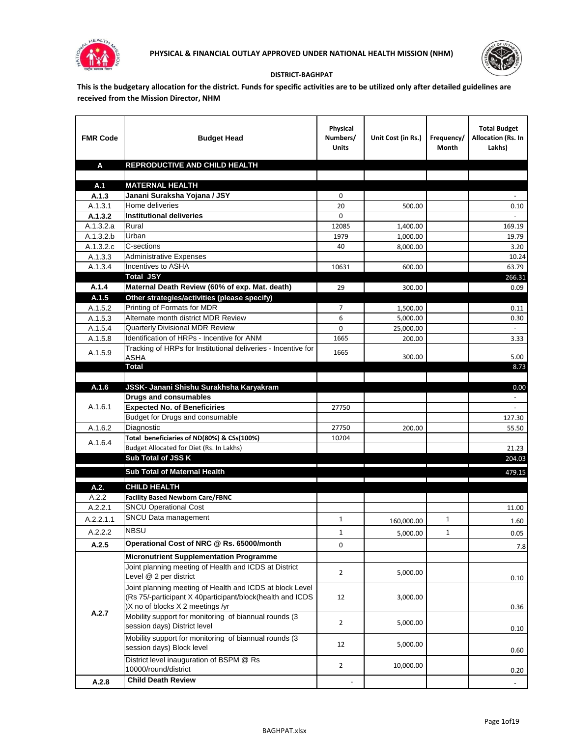



## **DISTRICT-BAGHPAT**

**This is the budgetary allocation for the district. Funds for specific activities are to be utilized only after detailed guidelines are received from the Mission Director, NHM**

| <b>FMR Code</b>        | <b>Budget Head</b>                                                                                      | Physical<br>Numbers/<br><b>Units</b> | Unit Cost (in Rs.)                                               | Frequency/<br>Month | <b>Total Budget</b><br>Allocation (Rs. In<br>Lakhs) |
|------------------------|---------------------------------------------------------------------------------------------------------|--------------------------------------|------------------------------------------------------------------|---------------------|-----------------------------------------------------|
| A                      | REPRODUCTIVE AND CHILD HEALTH                                                                           |                                      |                                                                  |                     |                                                     |
|                        |                                                                                                         |                                      |                                                                  |                     |                                                     |
| A.1                    | <b>MATERNAL HEALTH</b>                                                                                  |                                      |                                                                  |                     |                                                     |
| A.1.3                  | Janani Suraksha Yojana / JSY                                                                            | 0                                    |                                                                  |                     |                                                     |
| A.1.3.1                | Home deliveries                                                                                         | 20                                   | 500.00                                                           |                     | $0.10\,$                                            |
| A.1.3.2                | <b>Institutional deliveries</b>                                                                         | 0                                    |                                                                  |                     |                                                     |
| A.1.3.2.a              | Rural                                                                                                   | 12085                                | 1,400.00                                                         |                     | 169.19                                              |
| $\overline{A.1.3.2.b}$ | Urban                                                                                                   | 1979                                 | 1,000.00                                                         |                     | 19.79                                               |
| A.1.3.2.c              | C-sections                                                                                              | 40                                   | 8,000.00                                                         |                     | 3.20                                                |
| A.1.3.3                | <b>Administrative Expenses</b><br>Incentives to ASHA                                                    |                                      |                                                                  |                     | 10.24                                               |
| A.1.3.4                | <b>Total JSY</b>                                                                                        | 10631                                | 600.00                                                           |                     | 63.79<br>266.31                                     |
| A.1.4                  | Maternal Death Review (60% of exp. Mat. death)                                                          | 29                                   | 300.00                                                           |                     | 0.09                                                |
| A.1.5                  | Other strategies/activities (please specify)                                                            |                                      |                                                                  |                     |                                                     |
| A.1.5.2                | Printing of Formats for MDR                                                                             | 7                                    | 1,500.00                                                         |                     | 0.11                                                |
| A.1.5.3                | Alternate month district MDR Review                                                                     | 6                                    | 5,000.00                                                         |                     | 0.30                                                |
| A.1.5.4                | Quarterly Divisional MDR Review                                                                         | 0                                    | 25,000.00                                                        |                     |                                                     |
| A.1.5.8                | Identification of HRPs - Incentive for ANM                                                              | 1665                                 | 200.00                                                           |                     | 3.33                                                |
|                        | Tracking of HRPs for Institutional deliveries - Incentive for                                           |                                      |                                                                  |                     |                                                     |
| A.1.5.9                | <b>ASHA</b>                                                                                             | 1665                                 | 300.00                                                           |                     | 5.00                                                |
|                        | Total                                                                                                   |                                      |                                                                  |                     | 8.73                                                |
|                        |                                                                                                         |                                      |                                                                  |                     |                                                     |
| A.1.6                  | JSSK- Janani Shishu Surakhsha Karyakram                                                                 |                                      |                                                                  |                     | 0.00                                                |
|                        | <b>Drugs and consumables</b>                                                                            |                                      |                                                                  |                     |                                                     |
| A.1.6.1                | <b>Expected No. of Beneficiries</b>                                                                     | 27750                                |                                                                  |                     | $\sim$                                              |
|                        | Budget for Drugs and consumable                                                                         |                                      |                                                                  |                     | 127.30                                              |
| A.1.6.2                | Diagnostic                                                                                              | 27750                                | 200.00                                                           |                     | 55.50                                               |
| A.1.6.4                | Total beneficiaries of ND(80%) & CSs(100%)<br>Budget Allocated for Diet (Rs. In Lakhs)                  | 10204                                |                                                                  |                     |                                                     |
|                        | Sub Total of JSS K                                                                                      |                                      |                                                                  |                     | 21.23<br>204.03                                     |
|                        |                                                                                                         |                                      |                                                                  |                     |                                                     |
|                        | Sub Total of Maternal Health                                                                            |                                      | <u> 1989 - Johann Stein, mars an t-Amerikaansk kommunister (</u> |                     | 479.15                                              |
| A.2.                   | <b>CHILD HEALTH</b>                                                                                     |                                      |                                                                  |                     |                                                     |
| A.2.2                  | <b>Facility Based Newborn Care/FBNC</b>                                                                 |                                      |                                                                  |                     |                                                     |
| A.2.2.1                | <b>SNCU Operational Cost</b>                                                                            |                                      |                                                                  |                     | 11.00                                               |
| A.2.2.1.1              | SNCU Data management                                                                                    | $\mathbf{1}$                         | 160,000.00                                                       | 1                   | 1.60                                                |
| A.2.2.2                | <b>NBSU</b>                                                                                             | 1                                    | 5,000.00                                                         | 1                   | 0.05                                                |
| A.2.5                  | Operational Cost of NRC @ Rs. 65000/month                                                               | 0                                    |                                                                  |                     |                                                     |
|                        |                                                                                                         |                                      |                                                                  |                     | 7.8                                                 |
|                        | <b>Micronutrient Supplementation Programme</b><br>Joint planning meeting of Health and ICDS at District |                                      |                                                                  |                     |                                                     |
|                        | Level @ 2 per district                                                                                  | $\overline{2}$                       | 5,000.00                                                         |                     |                                                     |
|                        | Joint planning meeting of Health and ICDS at block Level                                                |                                      |                                                                  |                     | 0.10                                                |
|                        | (Rs 75/-participant X 40participant/block(health and ICDS                                               | 12                                   | 3,000.00                                                         |                     |                                                     |
|                        | )X no of blocks X 2 meetings /yr                                                                        |                                      |                                                                  |                     | 0.36                                                |
| A.2.7                  | Mobility support for monitoring of biannual rounds (3                                                   |                                      |                                                                  |                     |                                                     |
|                        | session days) District level                                                                            | $\overline{2}$                       | 5,000.00                                                         |                     | 0.10                                                |
|                        | Mobility support for monitoring of biannual rounds (3                                                   |                                      |                                                                  |                     |                                                     |
|                        | session days) Block level                                                                               | 12                                   | 5,000.00                                                         |                     | 0.60                                                |
|                        | District level inauguration of BSPM @ Rs                                                                |                                      |                                                                  |                     |                                                     |
|                        | 10000/round/district                                                                                    | $\overline{2}$                       | 10,000.00                                                        |                     | 0.20                                                |
| A.2.8                  | <b>Child Death Review</b>                                                                               |                                      |                                                                  |                     | $\overline{\phantom{a}}$                            |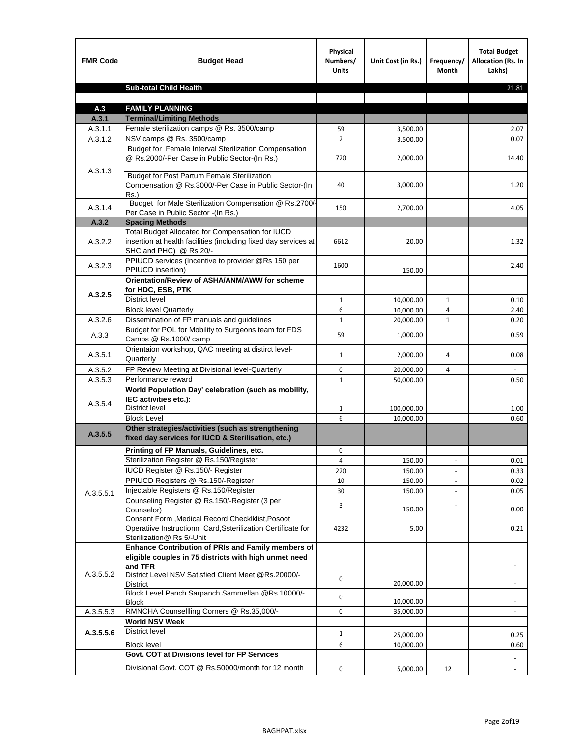| <b>FMR Code</b>    | <b>Budget Head</b>                                                                                                                             | Physical<br>Numbers/<br><b>Units</b> | Unit Cost (in Rs.) | Frequency/<br>Month | <b>Total Budget</b><br><b>Allocation (Rs. In</b><br>Lakhs) |
|--------------------|------------------------------------------------------------------------------------------------------------------------------------------------|--------------------------------------|--------------------|---------------------|------------------------------------------------------------|
|                    | <b>Sub-total Child Health</b>                                                                                                                  |                                      |                    |                     | 21.81                                                      |
|                    |                                                                                                                                                |                                      |                    |                     |                                                            |
| A.3                | <b>FAMILY PLANNING</b>                                                                                                                         |                                      |                    |                     |                                                            |
| A.3.1              | <b>Terminal/Limiting Methods</b>                                                                                                               |                                      |                    |                     |                                                            |
| A.3.1.1<br>A.3.1.2 | Female sterilization camps @ Rs. 3500/camp<br>NSV camps @ Rs. 3500/camp                                                                        | 59<br>$\overline{2}$                 | 3,500.00           |                     | 2.07<br>0.07                                               |
|                    | Budget for Female Interval Sterilization Compensation                                                                                          |                                      | 3,500.00           |                     |                                                            |
| A.3.1.3            | @ Rs.2000/-Per Case in Public Sector-(In Rs.)                                                                                                  | 720                                  | 2,000.00           |                     | 14.40                                                      |
|                    | <b>Budget for Post Partum Female Sterilization</b><br>Compensation @ Rs.3000/-Per Case in Public Sector-(In<br>$Rs.$ )                         | 40                                   | 3,000.00           |                     | 1.20                                                       |
| A.3.1.4            | Budget for Male Sterilization Compensation @ Rs.2700/-<br>Per Case in Public Sector -(In Rs.)                                                  | 150                                  | 2,700.00           |                     | 4.05                                                       |
| A.3.2              | <b>Spacing Methods</b>                                                                                                                         |                                      |                    |                     |                                                            |
| A.3.2.2            | Total Budget Allocated for Compensation for IUCD<br>insertion at health facilities (including fixed day services at<br>SHC and PHC) @ Rs 20/-  | 6612                                 | 20.00              |                     | 1.32                                                       |
| A.3.2.3            | PPIUCD services (Incentive to provider @Rs 150 per<br>PPIUCD insertion)                                                                        | 1600                                 | 150.00             |                     | 2.40                                                       |
|                    | Orientation/Review of ASHA/ANM/AWW for scheme<br>for HDC, ESB, PTK                                                                             |                                      |                    |                     |                                                            |
| A.3.2.5            | <b>District level</b>                                                                                                                          | $\mathbf{1}$                         | 10,000.00          | $\mathbf{1}$        | 0.10                                                       |
|                    | <b>Block level Quarterly</b>                                                                                                                   | 6                                    | 10,000.00          | 4                   | 2.40                                                       |
| A.3.2.6            | Dissemination of FP manuals and guidelines                                                                                                     | $\mathbf{1}$                         | 20,000.00          | 1                   | 0.20                                                       |
| A.3.3              | Budget for POL for Mobility to Surgeons team for FDS<br>Camps @ Rs.1000/camp                                                                   | 59                                   | 1,000.00           |                     | 0.59                                                       |
| A.3.5.1            | Orientaion workshop, QAC meeting at distirct level-<br>Quarterly                                                                               | 1                                    | 2,000.00           | 4                   | 0.08                                                       |
| A.3.5.2            | FP Review Meeting at Divisional level-Quarterly                                                                                                | 0                                    | 20,000.00          | 4                   |                                                            |
| A.3.5.3            | Performance reward                                                                                                                             | $\mathbf{1}$                         | 50,000.00          |                     | 0.50                                                       |
| A.3.5.4            | World Population Day' celebration (such as mobility,<br>IEC activities etc.):                                                                  |                                      |                    |                     |                                                            |
|                    | District level                                                                                                                                 | $\mathbf{1}$                         | 100,000.00         |                     | 1.00                                                       |
|                    | <b>Block Level</b>                                                                                                                             | 6                                    | 10,000.00          |                     | 0.60                                                       |
| A.3.5.5            | Other strategies/activities (such as strengthening<br>fixed day services for IUCD & Sterilisation, etc.)                                       |                                      |                    |                     |                                                            |
|                    | Printing of FP Manuals, Guidelines, etc.                                                                                                       | 0                                    |                    |                     |                                                            |
|                    | Sterilization Register @ Rs.150/Register                                                                                                       | 4                                    | 150.00             |                     | 0.01                                                       |
|                    | IUCD Register @ Rs.150/- Register                                                                                                              | 220                                  | 150.00             |                     | 0.33                                                       |
|                    | PPIUCD Registers @ Rs.150/-Register                                                                                                            | 10                                   | 150.00             |                     | 0.02                                                       |
| A.3.5.5.1          | Injectable Registers @ Rs.150/Register                                                                                                         | 30                                   | 150.00             |                     | 0.05                                                       |
|                    | Counseling Register @ Rs.150/-Register (3 per<br>Counselor)                                                                                    | 3                                    | 150.00             |                     | 0.00                                                       |
|                    | Consent Form , Medical Record CheckIklist, Posoot<br>Operatiive Instructionn Card, Ssterilization Certificate for<br>Sterilization@ Rs 5/-Unit | 4232                                 | 5.00               |                     | 0.21                                                       |
|                    | Enhance Contribution of PRIs and Family members of<br>eligible couples in 75 districts with high unmet need<br>and TFR                         |                                      |                    |                     |                                                            |
| A.3.5.5.2          | District Level NSV Satisfied Client Meet @Rs.20000/-<br><b>District</b>                                                                        | 0                                    | 20,000.00          |                     |                                                            |
|                    | Block Level Panch Sarpanch Sammellan @Rs.10000/-<br><b>Block</b>                                                                               | 0                                    | 10,000.00          |                     |                                                            |
| A.3.5.5.3          | RMNCHA Counsellling Corners @ Rs.35,000/-                                                                                                      | 0                                    | 35,000.00          |                     |                                                            |
|                    | <b>World NSV Week</b>                                                                                                                          |                                      |                    |                     |                                                            |
| A.3.5.5.6          | <b>District level</b>                                                                                                                          | $\mathbf{1}$                         | 25,000.00          |                     | 0.25                                                       |
|                    | <b>Block level</b>                                                                                                                             | 6                                    | 10,000.00          |                     | 0.60                                                       |
|                    | Govt. COT at Divisions level for FP Services                                                                                                   |                                      |                    |                     |                                                            |
|                    | Divisional Govt. COT @ Rs.50000/month for 12 month                                                                                             | 0                                    | 5,000.00           | 12                  |                                                            |
|                    |                                                                                                                                                |                                      |                    |                     |                                                            |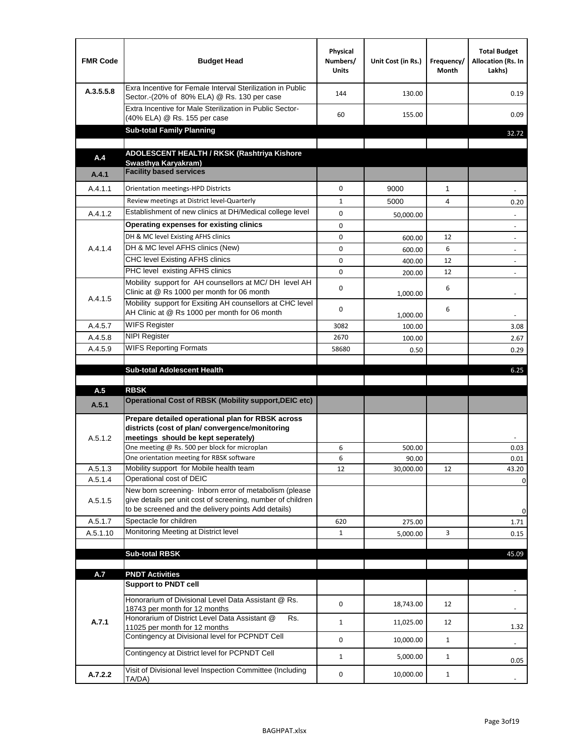| <b>FMR Code</b> | <b>Budget Head</b>                                                                                                                                                                                                                       | Physical<br>Numbers/<br><b>Units</b> | Unit Cost (in Rs.) | Frequency/<br>Month | <b>Total Budget</b><br>Allocation (Rs. In<br>Lakhs) |
|-----------------|------------------------------------------------------------------------------------------------------------------------------------------------------------------------------------------------------------------------------------------|--------------------------------------|--------------------|---------------------|-----------------------------------------------------|
| A.3.5.5.8       | Exra Incentive for Female Interval Sterilization in Public<br>Sector.-(20% of 80% ELA) @ Rs. 130 per case                                                                                                                                | 144                                  | 130.00             |                     | 0.19                                                |
|                 | Extra Incentive for Male Sterilization in Public Sector-<br>(40% ELA) @ Rs. 155 per case                                                                                                                                                 | 60                                   | 155.00             |                     | 0.09                                                |
|                 | <b>Sub-total Family Planning</b>                                                                                                                                                                                                         |                                      |                    |                     | 32.72                                               |
|                 | ADOLESCENT HEALTH / RKSK (Rashtriya Kishore                                                                                                                                                                                              |                                      |                    |                     |                                                     |
| A.4             | Swasthya Karyakram)                                                                                                                                                                                                                      |                                      |                    |                     |                                                     |
| A.4.1           | <b>Facility based services</b>                                                                                                                                                                                                           |                                      |                    |                     |                                                     |
| A.4.1.1         | Orientation meetings-HPD Districts                                                                                                                                                                                                       | $\Omega$                             | 9000               | $\mathbf{1}$        |                                                     |
|                 | Review meetings at District level-Quarterly                                                                                                                                                                                              | $\mathbf{1}$                         | 5000               | 4                   | 0.20                                                |
| A.4.1.2         | Establishment of new clinics at DH/Medical college level                                                                                                                                                                                 | 0                                    | 50,000.00          |                     |                                                     |
|                 | Operating expenses for existing clinics                                                                                                                                                                                                  | 0                                    |                    |                     |                                                     |
|                 | DH & MC level Existing AFHS clinics                                                                                                                                                                                                      | 0                                    | 600.00             | 12                  |                                                     |
| A.4.1.4         | DH & MC level AFHS clinics (New)                                                                                                                                                                                                         | 0                                    | 600.00             | 6                   | $\overline{\phantom{a}}$                            |
|                 | CHC level Existing AFHS clinics                                                                                                                                                                                                          | 0                                    | 400.00             | 12                  | $\overline{\phantom{a}}$                            |
|                 | PHC level existing AFHS clinics                                                                                                                                                                                                          | $\Omega$                             | 200.00             | 12                  | $\blacksquare$                                      |
| A.4.1.5         | Mobility support for AH counsellors at MC/DH level AH<br>Clinic at @ Rs 1000 per month for 06 month                                                                                                                                      | 0                                    | 1,000.00           | 6                   |                                                     |
|                 | Mobility support for Exsiting AH counsellors at CHC level<br>AH Clinic at @ Rs 1000 per month for 06 month                                                                                                                               | 0                                    | 1,000.00           | 6                   |                                                     |
| A.4.5.7         | <b>WIFS Register</b>                                                                                                                                                                                                                     | 3082                                 | 100.00             |                     | 3.08                                                |
| A.4.5.8         | <b>NIPI Register</b>                                                                                                                                                                                                                     | 2670                                 | 100.00             |                     | 2.67                                                |
| A.4.5.9         | <b>WIFS Reporting Formats</b>                                                                                                                                                                                                            | 58680                                | 0.50               |                     | 0.29                                                |
|                 | <b>Sub-total Adolescent Health</b>                                                                                                                                                                                                       |                                      |                    |                     | 6.25                                                |
| A.5             | <b>RBSK</b><br><b>Operational Cost of RBSK (Mobility support, DEIC etc)</b>                                                                                                                                                              |                                      |                    |                     |                                                     |
| A.5.1           |                                                                                                                                                                                                                                          |                                      |                    |                     |                                                     |
| A.5.1.2         | Prepare detailed operational plan for RBSK across<br>districts (cost of plan/convergence/monitoring<br>meetings should be kept seperately)<br>One meeting @ Rs. 500 per block for microplan<br>One orientation meeting for RBSK software | 6<br>6                               | 500.00<br>90.00    |                     | 0.03<br>0.01                                        |
| A.5.1.3         | Mobility support for Mobile health team                                                                                                                                                                                                  | 12                                   | 30,000.00          | 12                  | 43.20                                               |
| A.5.1.4         | Operational cost of DEIC                                                                                                                                                                                                                 |                                      |                    |                     | 0                                                   |
| A.5.1.5         | New born screening- Inborn error of metabolism (please<br>give details per unit cost of screening, number of children<br>to be screened and the delivery points Add details)                                                             |                                      |                    |                     | 0                                                   |
| A.5.1.7         | Spectacle for children                                                                                                                                                                                                                   | 620                                  | 275.00             |                     | 1.71                                                |
| A.5.1.10        | Monitoring Meeting at District level                                                                                                                                                                                                     | $\mathbf{1}$                         | 5,000.00           | 3                   | 0.15                                                |
|                 |                                                                                                                                                                                                                                          |                                      |                    |                     |                                                     |
|                 | <b>Sub-total RBSK</b>                                                                                                                                                                                                                    |                                      |                    |                     | 45.09                                               |
| A.7             | <b>PNDT Activities</b>                                                                                                                                                                                                                   |                                      |                    |                     |                                                     |
|                 | <b>Support to PNDT cell</b>                                                                                                                                                                                                              |                                      |                    |                     |                                                     |
|                 | Honorarium of Divisional Level Data Assistant @ Rs.<br>18743 per month for 12 months                                                                                                                                                     | 0                                    | 18,743.00          | 12                  |                                                     |
| A.7.1           | Honorarium of District Level Data Assistant @<br>Rs.<br>11025 per month for 12 months                                                                                                                                                    | $\mathbf{1}$                         | 11,025.00          | 12                  | 1.32                                                |
|                 | Contingency at Divisional level for PCPNDT Cell                                                                                                                                                                                          | 0                                    | 10,000.00          | $\mathbf{1}$        | $\overline{\phantom{a}}$                            |
|                 | Contingency at District level for PCPNDT Cell                                                                                                                                                                                            | $\mathbf{1}$                         | 5,000.00           | $\mathbf{1}$        | 0.05                                                |
| A.7.2.2         | Visit of Divisional level Inspection Committee (Including<br>TA/DA)                                                                                                                                                                      | 0                                    | 10,000.00          | $\mathbf{1}$        |                                                     |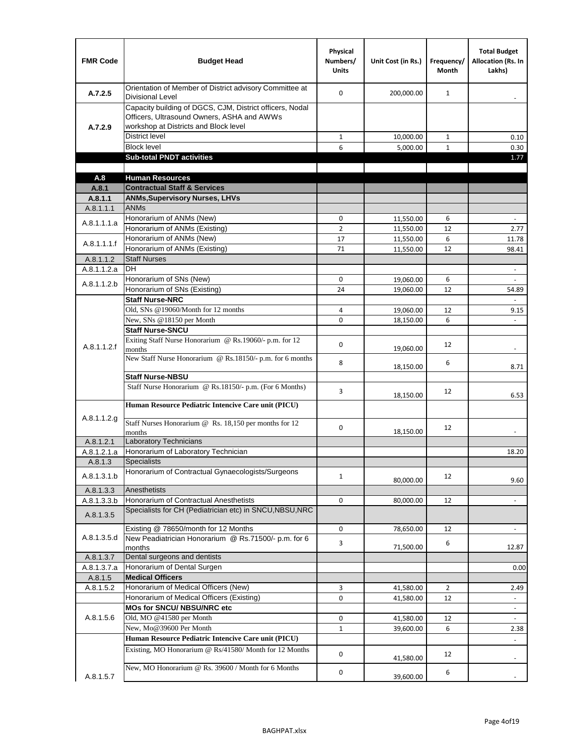| <b>FMR Code</b>      | <b>Budget Head</b>                                                                                                                              | Physical<br>Numbers/<br><b>Units</b> | Unit Cost (in Rs.)     | Frequency/<br><b>Month</b> | <b>Total Budget</b><br><b>Allocation (Rs. In</b><br>Lakhs) |
|----------------------|-------------------------------------------------------------------------------------------------------------------------------------------------|--------------------------------------|------------------------|----------------------------|------------------------------------------------------------|
| A.7.2.5              | Orientation of Member of District advisory Committee at<br><b>Divisional Level</b>                                                              | $\Omega$                             | 200,000.00             | $\mathbf{1}$               | $\overline{\phantom{m}}$                                   |
| A.7.2.9              | Capacity building of DGCS, CJM, District officers, Nodal<br>Officers, Ultrasound Owners, ASHA and AWWs<br>workshop at Districts and Block level |                                      |                        |                            |                                                            |
|                      | <b>District level</b>                                                                                                                           | $\mathbf{1}$                         | 10,000.00              | $\mathbf{1}$               | 0.10                                                       |
|                      | <b>Block level</b>                                                                                                                              | 6                                    | 5,000.00               | $\mathbf{1}$               | 0.30                                                       |
|                      | <b>Sub-total PNDT activities</b>                                                                                                                |                                      |                        |                            | 1.77                                                       |
|                      |                                                                                                                                                 |                                      |                        |                            |                                                            |
| A.8                  | <b>Human Resources</b>                                                                                                                          |                                      |                        |                            |                                                            |
| A.8.1                | <b>Contractual Staff &amp; Services</b>                                                                                                         |                                      |                        |                            |                                                            |
| A.8.1.1<br>A.8.1.1.1 | <b>ANMs, Supervisory Nurses, LHVs</b><br><b>ANMs</b>                                                                                            |                                      |                        |                            |                                                            |
|                      | Honorarium of ANMs (New)                                                                                                                        | 0                                    |                        | 6                          | $\blacksquare$                                             |
| A.8.1.1.1.a          | Honorarium of ANMs (Existing)                                                                                                                   | $\overline{2}$                       | 11,550.00<br>11,550.00 | 12                         | 2.77                                                       |
|                      | Honorarium of ANMs (New)                                                                                                                        | 17                                   | 11,550.00              | 6                          | 11.78                                                      |
| A.8.1.1.1.f          | Honorarium of ANMs (Existing)                                                                                                                   | 71                                   | 11,550.00              | 12                         | 98.41                                                      |
| A.8.1.1.2            | <b>Staff Nurses</b>                                                                                                                             |                                      |                        |                            |                                                            |
| A.8.1.1.2.a          | <b>DH</b>                                                                                                                                       |                                      |                        |                            | $\blacksquare$                                             |
|                      | Honorarium of SNs (New)                                                                                                                         | 0                                    | 19,060.00              | 6                          |                                                            |
| A.8.1.1.2.b          | Honorarium of SNs (Existing)                                                                                                                    | 24                                   | 19.060.00              | 12                         | 54.89                                                      |
|                      | <b>Staff Nurse-NRC</b>                                                                                                                          |                                      |                        |                            | $\overline{\phantom{a}}$                                   |
|                      | Old, SNs @19060/Month for 12 months                                                                                                             | 4                                    | 19,060.00              | 12                         | 9.15                                                       |
|                      | New, SNs @18150 per Month                                                                                                                       | 0                                    | 18,150.00              | 6                          |                                                            |
|                      | <b>Staff Nurse-SNCU</b>                                                                                                                         |                                      |                        |                            |                                                            |
| A.8.1.1.2.f          | Exiting Staff Nurse Honorarium @ Rs.19060/- p.m. for 12<br>months                                                                               | $\Omega$                             | 19,060.00              | 12                         | -                                                          |
|                      | New Staff Nurse Honorarium @ Rs.18150/- p.m. for 6 months                                                                                       | 8                                    | 18,150.00              | 6                          | 8.71                                                       |
|                      | <b>Staff Nurse-NBSU</b>                                                                                                                         |                                      |                        |                            |                                                            |
|                      | Staff Nurse Honorarium @ Rs.18150/- p.m. (For 6 Months)                                                                                         | 3                                    | 18,150.00              | 12                         | 6.53                                                       |
|                      | Human Resource Pediatric Intencive Care unit (PICU)                                                                                             |                                      |                        |                            |                                                            |
| A.8.1.1.2.g          | Staff Nurses Honorarium @ Rs. 18,150 per months for 12<br>months                                                                                | 0                                    | 18,150.00              | 12                         |                                                            |
| A.8.1.2.1            | Laboratory Technicians                                                                                                                          |                                      |                        |                            |                                                            |
| A.8.1.2.1.a          | Honorarium of Laboratory Technician                                                                                                             |                                      |                        |                            | 18.20                                                      |
| A.8.1.3              | <b>Specialists</b>                                                                                                                              |                                      |                        |                            |                                                            |
| A.8.1.3.1.b          | Honorarium of Contractual Gynaecologists/Surgeons                                                                                               | $\mathbf{1}$                         | 80,000.00              | 12                         | 9.60                                                       |
| A.8.1.3.3            | Anesthetists                                                                                                                                    |                                      |                        |                            |                                                            |
| A.8.1.3.3.b          | Honorarium of Contractual Anesthetists                                                                                                          | 0                                    | 80,000.00              | 12                         | $\blacksquare$                                             |
| A.8.1.3.5            | Specialists for CH (Pediatrician etc) in SNCU, NBSU, NRC                                                                                        |                                      |                        |                            |                                                            |
|                      | Existing @ 78650/month for 12 Months                                                                                                            | 0                                    | 78,650.00              | 12                         | $\blacksquare$                                             |
| A.8.1.3.5.d          | New Peadiatrician Honorarium @ Rs.71500/- p.m. for 6<br>months                                                                                  | 3                                    | 71,500.00              | 6                          | 12.87                                                      |
| A.8.1.3.7            | Dental surgeons and dentists                                                                                                                    |                                      |                        |                            |                                                            |
| A.8.1.3.7.a          | Honorarium of Dental Surgen                                                                                                                     |                                      |                        |                            | 0.00                                                       |
| A.8.1.5              | <b>Medical Officers</b>                                                                                                                         |                                      |                        |                            |                                                            |
| A.8.1.5.2            | Honorarium of Medical Officers (New)                                                                                                            | 3                                    | 41,580.00              | $\overline{2}$             | 2.49                                                       |
|                      | Honorarium of Medical Officers (Existing)                                                                                                       | 0                                    | 41,580.00              | 12                         |                                                            |
|                      | MOs for SNCU/ NBSU/NRC etc                                                                                                                      |                                      |                        |                            |                                                            |
| A.8.1.5.6            | Old, MO @41580 per Month                                                                                                                        | 0                                    | 41,580.00              | 12                         | $\blacksquare$                                             |
|                      | New, Mo@39600 Per Month                                                                                                                         | $\mathbf{1}$                         | 39,600.00              | 6                          | 2.38                                                       |
|                      | Human Resource Pediatric Intencive Care unit (PICU)                                                                                             |                                      |                        |                            |                                                            |
|                      | Existing, MO Honorarium @ Rs/41580/ Month for 12 Months                                                                                         | $\mathbf 0$                          | 41,580.00              | 12                         |                                                            |
| A.8.1.5.7            | New, MO Honorarium @ Rs. 39600 / Month for 6 Months                                                                                             | 0                                    | 39,600.00              | 6                          |                                                            |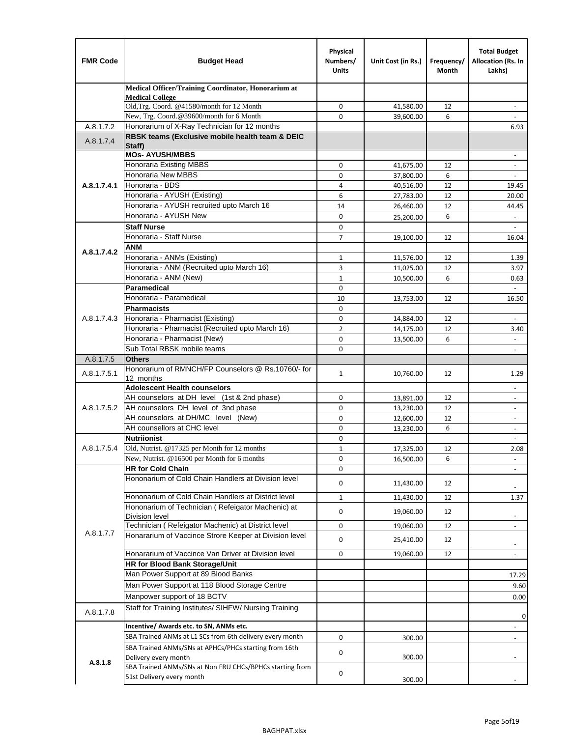| <b>FMR Code</b> | <b>Budget Head</b>                                                   | Physical<br>Numbers/<br><b>Units</b> | Unit Cost (in Rs.) | Frequency/<br>Month | <b>Total Budget</b><br>Allocation (Rs. In<br>Lakhs)  |
|-----------------|----------------------------------------------------------------------|--------------------------------------|--------------------|---------------------|------------------------------------------------------|
|                 | Medical Officer/Training Coordinator, Honorarium at                  |                                      |                    |                     |                                                      |
|                 | <b>Medical College</b><br>Old, Trg. Coord. @41580/month for 12 Month | 0                                    | 41,580.00          | 12                  |                                                      |
|                 | New, Trg. Coord.@39600/month for 6 Month                             | $\Omega$                             | 39,600.00          | 6                   |                                                      |
| A.8.1.7.2       | Honorarium of X-Ray Technician for 12 months                         |                                      |                    |                     | 6.93                                                 |
| A.8.1.7.4       | RBSK teams (Exclusive mobile health team & DEIC                      |                                      |                    |                     |                                                      |
|                 | Staff)<br><b>MOs- AYUSH/MBBS</b>                                     |                                      |                    |                     |                                                      |
|                 | Honoraria Existing MBBS                                              | 0                                    | 41,675.00          | 12                  | $\overline{\phantom{a}}$<br>$\overline{\phantom{a}}$ |
|                 | Honoraria New MBBS                                                   | 0                                    | 37,800.00          | 6                   | $\overline{\phantom{a}}$                             |
| A.8.1.7.4.1     | Honoraria - BDS                                                      | 4                                    | 40,516.00          | 12                  | 19.45                                                |
|                 | Honoraria - AYUSH (Existing)                                         | 6                                    | 27,783.00          | 12                  | 20.00                                                |
|                 | Honoraria - AYUSH recruited upto March 16                            | 14                                   | 26,460.00          | 12                  | 44.45                                                |
|                 | Honoraria - AYUSH New                                                | $\mathbf 0$                          | 25,200.00          | 6                   |                                                      |
|                 | <b>Staff Nurse</b>                                                   | $\mathbf 0$                          |                    |                     | $\omega$                                             |
|                 | Honoraria - Staff Nurse                                              | $\overline{7}$                       | 19,100.00          | 12                  | 16.04                                                |
| A.8.1.7.4.2     | ANM                                                                  |                                      |                    |                     |                                                      |
|                 | Honoraria - ANMs (Existing)                                          | $\mathbf{1}$                         | 11,576.00          | 12                  | 1.39                                                 |
|                 | Honoraria - ANM (Recruited upto March 16)                            | 3                                    | 11,025.00          | 12                  | 3.97                                                 |
|                 | Honoraria - ANM (New)                                                | $\mathbf{1}$                         | 10,500.00          | 6                   | 0.63                                                 |
|                 | <b>Paramedical</b>                                                   | $\mathbf 0$                          |                    |                     | $\Box$                                               |
|                 | Honoraria - Paramedical                                              | 10                                   | 13,753.00          | 12                  | 16.50                                                |
|                 | <b>Pharmacists</b>                                                   | $\mathbf 0$                          |                    |                     |                                                      |
| A.8.1.7.4.3     | Honoraria - Pharmacist (Existing)                                    | 0                                    | 14,884.00          | 12                  | $\overline{\phantom{a}}$                             |
|                 | Honoraria - Pharmacist (Recruited upto March 16)                     | $\overline{2}$                       | 14,175.00          | 12                  | 3.40                                                 |
|                 | Honoraria - Pharmacist (New)<br>Sub Total RBSK mobile teams          | $\mathbf 0$<br>$\Omega$              | 13,500.00          | 6                   | $\overline{\phantom{a}}$                             |
| A.8.1.7.5       | <b>Others</b>                                                        |                                      |                    |                     | $\overline{\phantom{a}}$                             |
|                 | Honorarium of RMNCH/FP Counselors @ Rs.10760/- for                   |                                      |                    |                     |                                                      |
| A.8.1.7.5.1     | 12 months                                                            | $\mathbf{1}$                         | 10,760.00          | 12                  | 1.29                                                 |
|                 | <b>Adolescent Health counselors</b>                                  |                                      |                    |                     | $\overline{\phantom{a}}$                             |
|                 | AH counselors at DH level (1st & 2nd phase)                          | $\mathbf 0$                          | 13,891.00          | 12                  | $\overline{\phantom{a}}$                             |
| A.8.1.7.5.2     | AH counselors DH level of 3nd phase                                  | $\mathbf 0$                          | 13,230.00          | 12                  | $\overline{\phantom{a}}$                             |
|                 | AH counselors at DH/MC level (New)                                   | 0                                    | 12,600.00          | 12                  | $\overline{\phantom{a}}$                             |
|                 | AH counsellors at CHC level                                          | $\mathbf 0$                          | 13,230.00          | 6                   | $\blacksquare$                                       |
|                 | <b>Nutriionist</b>                                                   | $\mathbf 0$                          |                    |                     | $\overline{\phantom{a}}$                             |
| A.8.1.7.5.4     | Old, Nutrist. @17325 per Month for 12 months                         | $\mathbf{1}$                         | 17,325.00          | 12                  | 2.08                                                 |
|                 | New, Nutrist. @16500 per Month for 6 months                          | 0                                    | 16,500.00          | 6                   |                                                      |
|                 | <b>HR for Cold Chain</b>                                             | 0                                    |                    |                     |                                                      |
|                 | Hononarium of Cold Chain Handlers at Division level                  | 0                                    | 11,430.00          | 12                  |                                                      |
|                 | Hononarium of Cold Chain Handlers at District level                  | 1                                    | 11,430.00          | 12                  | 1.37                                                 |
|                 | Hononarium of Technician (Refeigator Machenic) at                    | 0                                    | 19,060.00          | 12                  |                                                      |
|                 | <b>Division level</b>                                                |                                      |                    |                     |                                                      |
| A.8.1.7.7       | Technician (Refeigator Machenic) at District level                   | 0                                    | 19,060.00          | 12                  | $\overline{\phantom{a}}$                             |
|                 | Honararium of Vaccince Strore Keeper at Division level               | 0                                    | 25,410.00          | 12                  | $\overline{\phantom{a}}$                             |
|                 | Honararium of Vaccince Van Driver at Division level                  | 0                                    | 19,060.00          | 12                  | $\blacksquare$                                       |
|                 | <b>HR for Blood Bank Storage/Unit</b>                                |                                      |                    |                     |                                                      |
|                 | Man Power Support at 89 Blood Banks                                  |                                      |                    |                     | 17.29                                                |
|                 | Man Power Support at 118 Blood Storage Centre                        |                                      |                    |                     | 9.60                                                 |
|                 | Manpower support of 18 BCTV                                          |                                      |                    |                     | 0.00                                                 |
| A.8.1.7.8       | Staff for Training Institutes/ SIHFW/ Nursing Training               |                                      |                    |                     |                                                      |
|                 | Incentive/ Awards etc. to SN, ANMs etc.                              |                                      |                    |                     | 0                                                    |
|                 | SBA Trained ANMs at L1 SCs from 6th delivery every month             | 0                                    | 300.00             |                     | $\overline{\phantom{a}}$                             |
|                 | SBA Trained ANMs/SNs at APHCs/PHCs starting from 16th                |                                      |                    |                     |                                                      |
|                 | Delivery every month                                                 | 0                                    | 300.00             |                     |                                                      |
| A.8.1.8         | SBA Trained ANMs/SNs at Non FRU CHCs/BPHCs starting from             | 0                                    |                    |                     |                                                      |
|                 | 51st Delivery every month                                            |                                      | 300.00             |                     |                                                      |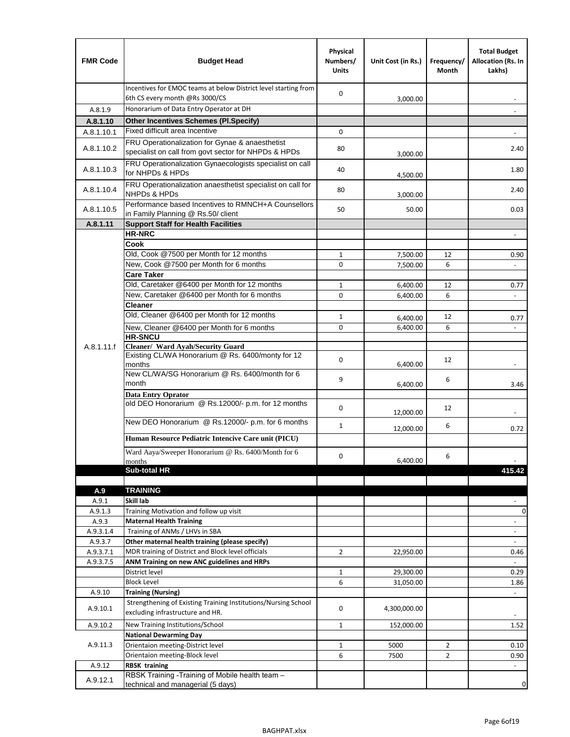| <b>FMR Code</b> | <b>Budget Head</b>                                                                                      | Physical<br>Numbers/<br><b>Units</b> | Unit Cost (in Rs.) | Frequency/<br>Month | <b>Total Budget</b><br>Allocation (Rs. In<br>Lakhs) |
|-----------------|---------------------------------------------------------------------------------------------------------|--------------------------------------|--------------------|---------------------|-----------------------------------------------------|
|                 | Incentives for EMOC teams at below District level starting from<br>6th CS every month @Rs 3000/CS       | 0                                    | 3,000.00           |                     |                                                     |
| A.8.1.9         | Honorarium of Data Entry Operator at DH                                                                 |                                      |                    |                     |                                                     |
| A.8.1.10        | <b>Other Incentives Schemes (Pl.Specify)</b>                                                            |                                      |                    |                     |                                                     |
| A.8.1.10.1      | Fixed difficult area Incentive                                                                          | 0                                    |                    |                     |                                                     |
| A.8.1.10.2      | FRU Operationalization for Gynae & anaesthetist<br>specialist on call from govt sector for NHPDs & HPDs | 80                                   | 3,000.00           |                     | 2.40                                                |
| A.8.1.10.3      | FRU Operationalization Gynaecologists specialist on call<br>for NHPDs & HPDs                            | 40                                   | 4,500.00           |                     | 1.80                                                |
| A.8.1.10.4      | FRU Operationalization anaesthetist specialist on call for<br><b>NHPDs &amp; HPDs</b>                   | 80                                   | 3,000.00           |                     | 2.40                                                |
| A.8.1.10.5      | Performance based Incentives to RMNCH+A Counsellors<br>in Family Planning @ Rs.50/ client               | 50                                   | 50.00              |                     | 0.03                                                |
| A.8.1.11        | <b>Support Staff for Health Facilities</b>                                                              |                                      |                    |                     |                                                     |
|                 | <b>HR-NRC</b>                                                                                           |                                      |                    |                     | $\overline{\phantom{m}}$                            |
|                 | Cook                                                                                                    |                                      |                    |                     |                                                     |
|                 | Old, Cook @7500 per Month for 12 months<br>New, Cook @7500 per Month for 6 months                       | 1                                    | 7,500.00           | 12                  | 0.90                                                |
|                 | <b>Care Taker</b>                                                                                       | 0                                    | 7,500.00           | 6                   | $\blacksquare$                                      |
|                 | Old, Caretaker @6400 per Month for 12 months                                                            | 1                                    | 6,400.00           | 12                  | 0.77                                                |
|                 | New, Caretaker @6400 per Month for 6 months                                                             | 0                                    | 6,400.00           | 6                   | $\overline{\phantom{a}}$                            |
|                 | <b>Cleaner</b>                                                                                          |                                      |                    |                     |                                                     |
|                 | Old, Cleaner @6400 per Month for 12 months                                                              | 1                                    | 6,400.00           | 12                  | 0.77                                                |
|                 | New, Cleaner @6400 per Month for 6 months                                                               | 0                                    | 6,400.00           | 6                   |                                                     |
|                 | <b>HR-SNCU</b>                                                                                          |                                      |                    |                     |                                                     |
| A.8.1.11.f      | Cleaner/ Ward Ayah/Security Guard                                                                       |                                      |                    |                     |                                                     |
|                 | Existing CL/WA Honorarium @ Rs. 6400/monty for 12<br>months                                             | 0                                    | 6,400.00           | 12                  |                                                     |
|                 | New CL/WA/SG Honorarium @ Rs. 6400/month for 6<br>month                                                 | 9                                    | 6,400.00           | 6                   | 3.46                                                |
|                 | <b>Data Entry Oprator</b><br>old DEO Honorarium @ Rs.12000/- p.m. for 12 months                         | 0                                    |                    |                     |                                                     |
|                 |                                                                                                         |                                      | 12,000.00          | 12                  |                                                     |
|                 | New DEO Honorarium @ Rs.12000/- p.m. for 6 months                                                       | $\mathbf{1}$                         | 12,000.00          | 6                   | 0.72                                                |
|                 | Human Resource Pediatric Intencive Care unit (PICU)                                                     |                                      |                    |                     |                                                     |
|                 | Ward Aaya/Sweeper Honorarium @ Rs. 6400/Month for 6                                                     | 0                                    |                    | 6                   |                                                     |
|                 | months                                                                                                  |                                      | 6,400.00           |                     |                                                     |
|                 | Sub-total HR                                                                                            |                                      |                    |                     | 415.42                                              |
|                 | <b>TRAINING</b>                                                                                         |                                      |                    |                     |                                                     |
| A.9<br>A.9.1    | Skill lab                                                                                               |                                      |                    |                     |                                                     |
| A.9.1.3         | Training Motivation and follow up visit                                                                 |                                      |                    |                     | 0                                                   |
| A.9.3           | <b>Maternal Health Training</b>                                                                         |                                      |                    |                     | $\blacksquare$                                      |
| A.9.3.1.4       | Training of ANMs / LHVs in SBA                                                                          |                                      |                    |                     | $\overline{\phantom{a}}$                            |
| A.9.3.7         | Other maternal health training (please specify)                                                         |                                      |                    |                     | $\overline{\phantom{a}}$                            |
| A.9.3.7.1       | MDR training of District and Block level officials                                                      | $\overline{2}$                       | 22,950.00          |                     | 0.46                                                |
| A.9.3.7.5       | ANM Training on new ANC guidelines and HRPs                                                             |                                      |                    |                     |                                                     |
|                 | District level                                                                                          | $\mathbf 1$                          | 29,300.00          |                     | 0.29                                                |
|                 | <b>Block Level</b>                                                                                      | 6                                    | 31,050.00          |                     | 1.86                                                |
| A.9.10          | <b>Training (Nursing)</b><br>Strengthening of Existing Training Institutions/Nursing School             |                                      |                    |                     | $\blacksquare$                                      |
| A.9.10.1        | excluding infrastructure and HR.                                                                        | 0                                    | 4,300,000.00       |                     |                                                     |
| A.9.10.2        | New Training Institutions/School                                                                        | $\mathbf{1}$                         | 152,000.00         |                     | 1.52                                                |
|                 | <b>National Dewarming Day</b>                                                                           |                                      |                    |                     |                                                     |
| A.9.11.3        | Orientaion meeting-District level                                                                       | 1                                    | 5000               | $\overline{2}$      | 0.10                                                |
|                 | Orientaion meeting-Block level                                                                          | 6                                    | 7500               | $\overline{2}$      | 0.90                                                |
| A.9.12          | <b>RBSK training</b>                                                                                    |                                      |                    |                     |                                                     |
| A.9.12.1        | RBSK Training -Training of Mobile health team -<br>technical and managerial (5 days)                    |                                      |                    |                     | 0                                                   |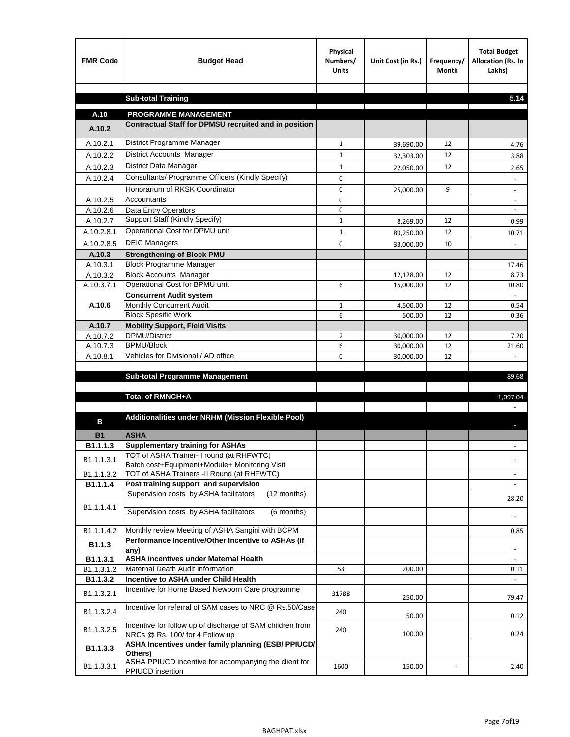| <b>FMR Code</b>       | <b>Budget Head</b>                                                                           | Physical<br>Numbers/<br><b>Units</b> | Unit Cost (in Rs.) | Frequency/<br><b>Month</b> | <b>Total Budget</b><br>Allocation (Rs. In<br>Lakhs) |
|-----------------------|----------------------------------------------------------------------------------------------|--------------------------------------|--------------------|----------------------------|-----------------------------------------------------|
|                       | <b>Sub-total Training</b>                                                                    |                                      |                    |                            | 5.14                                                |
|                       |                                                                                              |                                      |                    |                            |                                                     |
| A.10                  | <b>PROGRAMME MANAGEMENT</b>                                                                  |                                      |                    |                            |                                                     |
| A.10.2                | Contractual Staff for DPMSU recruited and in position                                        |                                      |                    |                            |                                                     |
| A.10.2.1              | District Programme Manager                                                                   | $\mathbf{1}$                         | 39,690.00          | 12                         | 4.76                                                |
| A.10.2.2              | District Accounts Manager                                                                    | 1                                    | 32,303.00          | 12                         | 3.88                                                |
| A.10.2.3              | District Data Manager                                                                        | $\mathbf{1}$                         | 22,050.00          | 12                         | 2.65                                                |
| A.10.2.4              | Consultants/ Programme Officers (Kindly Specify)                                             | $\mathbf 0$                          |                    |                            |                                                     |
|                       | Honorarium of RKSK Coordinator                                                               | 0                                    | 25,000.00          | 9                          | $\overline{\phantom{a}}$                            |
| A.10.2.5              | Accountants                                                                                  | 0                                    |                    |                            |                                                     |
| A.10.2.6              | Data Entry Operators                                                                         | 0                                    |                    |                            | $\overline{\phantom{a}}$                            |
| A.10.2.7              | Support Staff (Kindly Specify)                                                               | $\mathbf{1}$                         | 8,269.00           | 12                         | 0.99                                                |
| A.10.2.8.1            | Operational Cost for DPMU unit                                                               | $\mathbf{1}$                         | 89,250.00          | 12                         | 10.71                                               |
| A.10.2.8.5            | <b>DEIC Managers</b>                                                                         | $\mathbf 0$                          | 33,000.00          | 10                         |                                                     |
| A.10.3                | <b>Strengthening of Block PMU</b>                                                            |                                      |                    |                            |                                                     |
| A.10.3.1              | <b>Block Programme Manager</b>                                                               |                                      |                    |                            | 17.46                                               |
| A.10.3.2              | <b>Block Accounts Manager</b>                                                                |                                      | 12,128.00          | 12                         | 8.73                                                |
| A.10.3.7.1            | Operational Cost for BPMU unit<br><b>Concurrent Audit system</b>                             | 6                                    | 15,000.00          | 12                         | 10.80                                               |
| A.10.6                | Monthly Concurrent Audit                                                                     | $\mathbf{1}$                         | 4,500.00           | 12                         | 0.54                                                |
|                       | <b>Block Spesific Work</b>                                                                   | 6                                    | 500.00             | 12                         | 0.36                                                |
| A.10.7                | <b>Mobility Support, Field Visits</b>                                                        |                                      |                    |                            |                                                     |
| A.10.7.2              | <b>DPMU/District</b>                                                                         | $\overline{2}$                       | 30,000.00          | 12                         | 7.20                                                |
| A.10.7.3              | <b>BPMU/Block</b>                                                                            | 6                                    | 30,000.00          | 12                         | 21.60                                               |
| A.10.8.1              | Vehicles for Divisional / AD office                                                          | 0                                    | 30,000.00          | 12                         |                                                     |
|                       | <b>Sub-total Programme Management</b>                                                        |                                      |                    |                            |                                                     |
|                       |                                                                                              |                                      |                    |                            | 89.68                                               |
|                       | Total of RMNCH+A                                                                             |                                      |                    |                            | 1,097.04                                            |
|                       |                                                                                              |                                      |                    |                            |                                                     |
| в                     | Additionalities under NRHM (Mission Flexible Pool)                                           |                                      |                    |                            |                                                     |
|                       | <b>ASHA</b>                                                                                  |                                      |                    |                            |                                                     |
| <b>B1</b><br>B1.1.1.3 | <b>Supplementary training for ASHAs</b>                                                      |                                      |                    |                            |                                                     |
|                       | TOT of ASHA Trainer- I round (at RHFWTC)                                                     |                                      |                    |                            |                                                     |
| B1.1.1.3.1            | Batch cost+Equipment+Module+ Monitoring Visit                                                |                                      |                    |                            |                                                     |
| B1.1.1.3.2            | TOT of ASHA Trainers -II Round (at RHFWTC)                                                   |                                      |                    |                            |                                                     |
| B1.1.1.4              | Post training support and supervision                                                        |                                      |                    |                            | $\sim$                                              |
|                       | Supervision costs by ASHA facilitators<br>(12 months)                                        |                                      |                    |                            | 28.20                                               |
| B1.1.1.4.1            | Supervision costs by ASHA facilitators<br>(6 months)                                         |                                      |                    |                            |                                                     |
|                       |                                                                                              |                                      |                    |                            |                                                     |
| B1.1.1.4.2            | Monthly review Meeting of ASHA Sangini with BCPM                                             |                                      |                    |                            | 0.85                                                |
| B1.1.3                | Performance Incentive/Other Incentive to ASHAs (if<br>any)                                   |                                      |                    |                            |                                                     |
| B1.1.3.1              | <b>ASHA incentives under Maternal Health</b>                                                 |                                      |                    |                            |                                                     |
| B1.1.3.1.2            | Maternal Death Audit Information                                                             | 53                                   | 200.00             |                            | 0.11                                                |
| B1.1.3.2              | Incentive to ASHA under Child Health                                                         |                                      |                    |                            | ÷.                                                  |
| B1.1.3.2.1            | Incentive for Home Based Newborn Care programme                                              | 31788                                | 250.00             |                            | 79.47                                               |
| B1.1.3.2.4            | Incentive for referral of SAM cases to NRC @ Rs.50/Case                                      | 240                                  | 50.00              |                            | 0.12                                                |
| B1.1.3.2.5            | Incentive for follow up of discharge of SAM children from<br>NRCs @ Rs. 100/ for 4 Follow up | 240                                  | 100.00             |                            | 0.24                                                |
| B1.1.3.3              | ASHA Incentives under family planning (ESB/ PPIUCD/<br>Others)                               |                                      |                    |                            |                                                     |
| B1.1.3.3.1            | ASHA PPIUCD incentive for accompanying the client for<br>PPIUCD insertion                    | 1600                                 | 150.00             |                            | 2.40                                                |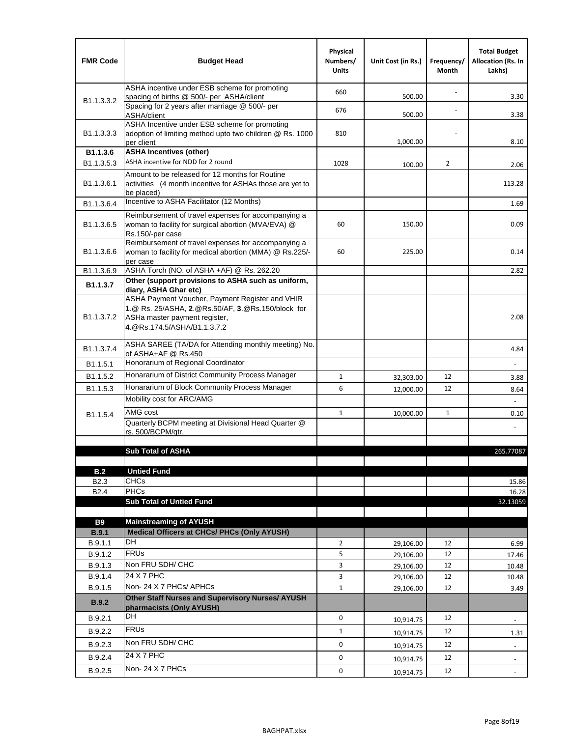| <b>FMR Code</b>            | <b>Budget Head</b>                                                                                                                                                    | Physical<br>Numbers/<br><b>Units</b> | Unit Cost (in Rs.) | Frequency/<br>Month | <b>Total Budget</b><br><b>Allocation (Rs. In</b><br>Lakhs) |
|----------------------------|-----------------------------------------------------------------------------------------------------------------------------------------------------------------------|--------------------------------------|--------------------|---------------------|------------------------------------------------------------|
|                            | ASHA incentive under ESB scheme for promoting<br>spacing of births @ 500/- per ASHA/client                                                                            | 660                                  | 500.00             |                     | 3.30                                                       |
| B <sub>1.1</sub> , 3, 3, 2 | Spacing for 2 years after marriage @ 500/- per<br>ASHA/client                                                                                                         | 676                                  | 500.00             |                     | 3.38                                                       |
| B1.1.3.3.3                 | ASHA Incentive under ESB scheme for promoting<br>adoption of limiting method upto two children @ Rs. 1000<br>per client                                               | 810                                  | 1,000.00           |                     | 8.10                                                       |
| B1.1.3.6                   | <b>ASHA Incentives (other)</b>                                                                                                                                        |                                      |                    |                     |                                                            |
| B <sub>1.1</sub> , 3, 5, 3 | ASHA incentive for NDD for 2 round                                                                                                                                    | 1028                                 | 100.00             | $\overline{2}$      | 2.06                                                       |
| B <sub>1.1</sub> .3.6.1    | Amount to be released for 12 months for Routine<br>activities (4 month incentive for ASHAs those are yet to<br>be placed)                                             |                                      |                    |                     | 113.28                                                     |
| B1.1.3.6.4                 | Incentive to ASHA Facilitator (12 Months)                                                                                                                             |                                      |                    |                     | 1.69                                                       |
| B <sub>1.1</sub> .3.6.5    | Reimbursement of travel expenses for accompanying a<br>woman to facility for surgical abortion (MVA/EVA) @<br>Rs.150/-per case                                        | 60                                   | 150.00             |                     | 0.09                                                       |
| B <sub>1.1</sub> .3.6.6    | Reimbursement of travel expenses for accompanying a<br>woman to facility for medical abortion (MMA) @ Rs.225/-<br>per case                                            | 60                                   | 225.00             |                     | 0.14                                                       |
| B1.1.3.6.9                 | ASHA Torch (NO. of ASHA +AF) @ Rs. 262.20                                                                                                                             |                                      |                    |                     | 2.82                                                       |
| B1.1.3.7                   | Other (support provisions to ASHA such as uniform,<br>diary, ASHA Ghar etc)                                                                                           |                                      |                    |                     |                                                            |
| B <sub>1.1</sub> .3.7.2    | ASHA Payment Voucher, Payment Register and VHIR<br>1.@ Rs. 25/ASHA, 2.@Rs.50/AF, 3.@Rs.150/block for<br>ASHa master payment register,<br>4. @Rs.174.5/ASHA/B1.1.3.7.2 |                                      |                    |                     | 2.08                                                       |
| B <sub>1.1</sub> , 3.7.4   | ASHA SAREE (TA/DA for Attending monthly meeting) No.<br>of ASHA+AF @ Rs.450                                                                                           |                                      |                    |                     | 4.84                                                       |
| B <sub>1.1</sub> .5.1      | Honorarium of Regional Coordinator                                                                                                                                    |                                      |                    |                     |                                                            |
| B <sub>1.1.5.2</sub>       | Honararium of District Community Process Manager                                                                                                                      | $\mathbf{1}$                         | 32,303.00          | 12                  | 3.88                                                       |
| B1.1.5.3                   | Honararium of Block Community Process Manager                                                                                                                         | 6                                    | 12,000.00          | 12                  | 8.64                                                       |
|                            | Mobility cost for ARC/AMG                                                                                                                                             |                                      |                    |                     |                                                            |
| B <sub>1.1.5.4</sub>       | AMG cost                                                                                                                                                              | $\mathbf{1}$                         | 10,000.00          | $\mathbf{1}$        | 0.10                                                       |
|                            | Quarterly BCPM meeting at Divisional Head Quarter @                                                                                                                   |                                      |                    |                     |                                                            |
|                            | rs. 500/BCPM/qtr.                                                                                                                                                     |                                      |                    |                     |                                                            |
|                            | <b>Sub Total of ASHA</b>                                                                                                                                              |                                      |                    |                     | 265.77087                                                  |
|                            |                                                                                                                                                                       |                                      |                    |                     |                                                            |
| B.2                        | <b>Untied Fund</b>                                                                                                                                                    |                                      |                    |                     |                                                            |
| B <sub>2.3</sub>           | <b>CHCs</b>                                                                                                                                                           |                                      |                    |                     | 15.86                                                      |
| B <sub>2.4</sub>           | PHCs                                                                                                                                                                  |                                      |                    |                     | 16.28                                                      |
|                            | <b>Sub Total of Untied Fund</b>                                                                                                                                       |                                      |                    |                     | 32.13059                                                   |
| <b>B9</b>                  | <b>Mainstreaming of AYUSH</b>                                                                                                                                         |                                      |                    |                     |                                                            |
| B.9.1                      | Medical Officers at CHCs/ PHCs (Only AYUSH)                                                                                                                           |                                      |                    |                     |                                                            |
| B.9.1.1                    | <b>DH</b>                                                                                                                                                             | $\overline{2}$                       | 29,106.00          | 12                  | 6.99                                                       |
| B.9.1.2                    | <b>FRUs</b>                                                                                                                                                           | 5                                    | 29,106.00          | 12                  | 17.46                                                      |
| B.9.1.3                    | Non FRU SDH/ CHC                                                                                                                                                      | 3                                    | 29,106.00          | 12                  | 10.48                                                      |
| B.9.1.4                    | 24 X 7 PHC                                                                                                                                                            | 3                                    | 29,106.00          | 12                  | 10.48                                                      |
| B.9.1.5                    | Non-24 X 7 PHCs/ APHCs                                                                                                                                                | $\mathbf{1}$                         | 29,106.00          | 12                  | 3.49                                                       |
| B.9.2                      | Other Staff Nurses and Supervisory Nurses/ AYUSH<br>pharmacists (Only AYUSH)                                                                                          |                                      |                    |                     |                                                            |
| B.9.2.1                    | DH                                                                                                                                                                    | $\mathbf 0$                          | 10,914.75          | 12                  | $\overline{\phantom{a}}$                                   |
| B.9.2.2                    | <b>FRUs</b>                                                                                                                                                           | $\mathbf{1}$                         | 10,914.75          | 12                  | 1.31                                                       |
| B.9.2.3                    | Non FRU SDH/ CHC                                                                                                                                                      | 0                                    | 10,914.75          | 12                  | $\frac{1}{2}$                                              |
| B.9.2.4                    | 24 X 7 PHC                                                                                                                                                            | 0                                    |                    | 12                  |                                                            |
|                            | Non-24 X 7 PHCs                                                                                                                                                       | 0                                    | 10,914.75          |                     | $\overline{\phantom{m}}$                                   |
| B.9.2.5                    |                                                                                                                                                                       |                                      | 10,914.75          | 12                  | $\overline{\phantom{a}}$                                   |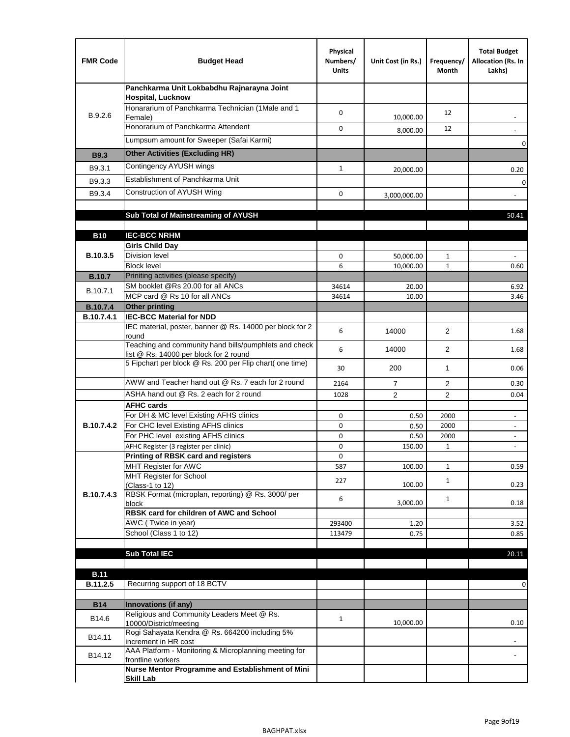| <b>FMR Code</b> | <b>Budget Head</b>                                                                                 | Physical<br>Numbers/<br><b>Units</b> | Unit Cost (in Rs.) | Frequency/<br>Month | <b>Total Budget</b><br>Allocation (Rs. In<br>Lakhs) |
|-----------------|----------------------------------------------------------------------------------------------------|--------------------------------------|--------------------|---------------------|-----------------------------------------------------|
|                 | Panchkarma Unit Lokbabdhu Rajnarayna Joint<br><b>Hospital, Lucknow</b>                             |                                      |                    |                     |                                                     |
| B.9.2.6         | Honararium of Panchkarma Technician (1Male and 1<br>Female)                                        | 0                                    | 10,000.00          | 12                  |                                                     |
|                 | Honorarium of Panchkarma Attendent                                                                 | 0                                    | 8,000.00           | 12                  |                                                     |
|                 | Lumpsum amount for Sweeper (Safai Karmi)                                                           |                                      |                    |                     | 0                                                   |
| <b>B9.3</b>     | <b>Other Activities (Excluding HR)</b>                                                             |                                      |                    |                     |                                                     |
| B9.3.1          | Contingency AYUSH wings                                                                            | $\mathbf{1}$                         | 20,000.00          |                     | 0.20                                                |
| B9.3.3          | Establishment of Panchkarma Unit                                                                   |                                      |                    |                     | $\mathbf 0$                                         |
| B9.3.4          | Construction of AYUSH Wing                                                                         | 0                                    | 3,000,000.00       |                     |                                                     |
|                 |                                                                                                    |                                      |                    |                     |                                                     |
|                 | Sub Total of Mainstreaming of AYUSH                                                                |                                      |                    |                     | 50.41                                               |
| <b>B10</b>      | <b>IEC-BCC NRHM</b>                                                                                |                                      |                    |                     |                                                     |
|                 | <b>Girls Child Day</b>                                                                             |                                      |                    |                     |                                                     |
| B.10.3.5        | <b>Division level</b>                                                                              | 0                                    | 50,000.00          | 1                   |                                                     |
|                 | <b>Block level</b>                                                                                 | 6                                    | 10,000.00          | $\mathbf{1}$        | 0.60                                                |
| <b>B.10.7</b>   | Priniting activities (please specify)<br>SM booklet @Rs 20.00 for all ANCs                         |                                      |                    |                     |                                                     |
| B.10.7.1        | MCP card @ Rs 10 for all ANCs                                                                      | 34614<br>34614                       | 20.00<br>10.00     |                     | 6.92<br>3.46                                        |
| <b>B.10.7.4</b> | <b>Other printing</b>                                                                              |                                      |                    |                     |                                                     |
| B.10.7.4.1      | <b>IEC-BCC Material for NDD</b>                                                                    |                                      |                    |                     |                                                     |
|                 | IEC material, poster, banner @ Rs. 14000 per block for 2<br>round                                  | 6                                    | 14000              | $\overline{2}$      | 1.68                                                |
|                 | Teaching and community hand bills/pumphlets and check<br>list @ Rs. 14000 per block for 2 round    | 6                                    | 14000              | 2                   | 1.68                                                |
|                 | 5 Fipchart per block @ Rs. 200 per Flip chart( one time)                                           | 30                                   | 200                | $\mathbf{1}$        | 0.06                                                |
|                 | AWW and Teacher hand out @ Rs. 7 each for 2 round                                                  | 2164                                 | $\overline{7}$     | 2                   | 0.30                                                |
|                 | ASHA hand out @ Rs. 2 each for 2 round                                                             | 1028                                 | $\overline{2}$     | $\overline{2}$      | 0.04                                                |
|                 | <b>AFHC cards</b><br>For DH & MC level Existing AFHS clinics                                       | 0                                    |                    | 2000                | $\overline{\phantom{a}}$                            |
| B.10.7.4.2      | For CHC level Existing AFHS clinics                                                                | 0                                    | 0.50<br>0.50       | 2000                | $\overline{\phantom{a}}$                            |
|                 | For PHC level existing AFHS clinics                                                                | 0                                    | 0.50               | 2000                | $\bar{\phantom{a}}$                                 |
|                 | AFHC Register (3 register per clinic)                                                              | 0                                    | 150.00             | $\mathbf{1}$        | $\blacksquare$                                      |
|                 | Printing of RBSK card and registers                                                                | 0                                    |                    |                     |                                                     |
|                 | MHT Register for AWC<br>MHT Register for School                                                    | 587                                  | 100.00             | $\mathbf{1}$        | 0.59                                                |
|                 | (Class-1 to 12)                                                                                    | 227                                  | 100.00             | $\mathbf{1}$        | 0.23                                                |
| B.10.7.4.3      | RBSK Format (microplan, reporting) @ Rs. 3000/ per                                                 | 6                                    |                    | $\mathbf{1}$        |                                                     |
|                 | block<br>RBSK card for children of AWC and School                                                  |                                      | 3,000.00           |                     | 0.18                                                |
|                 | AWC (Twice in year)                                                                                | 293400                               | 1.20               |                     | 3.52                                                |
|                 | School (Class 1 to 12)                                                                             | 113479                               | 0.75               |                     | 0.85                                                |
|                 | <b>Sub Total IEC</b>                                                                               |                                      |                    |                     |                                                     |
|                 |                                                                                                    |                                      |                    |                     | 20.11                                               |
| <b>B.11</b>     |                                                                                                    |                                      |                    |                     |                                                     |
| B.11.2.5        | Recurring support of 18 BCTV                                                                       |                                      |                    |                     | 0                                                   |
|                 |                                                                                                    |                                      |                    |                     |                                                     |
| <b>B14</b>      | Innovations (if any)<br>Religious and Community Leaders Meet @ Rs.                                 |                                      |                    |                     |                                                     |
| B14.6           | 10000/District/meeting                                                                             | $\mathbf{1}$                         | 10,000.00          |                     | 0.10                                                |
| B14.11          | Rogi Sahayata Kendra @ Rs. 664200 including 5%                                                     |                                      |                    |                     |                                                     |
| B14.12          | increment in HR cost<br>AAA Platform - Monitoring & Microplanning meeting for<br>frontline workers |                                      |                    |                     |                                                     |
|                 | Nurse Mentor Programme and Establishment of Mini                                                   |                                      |                    |                     |                                                     |
|                 | <b>Skill Lab</b>                                                                                   |                                      |                    |                     |                                                     |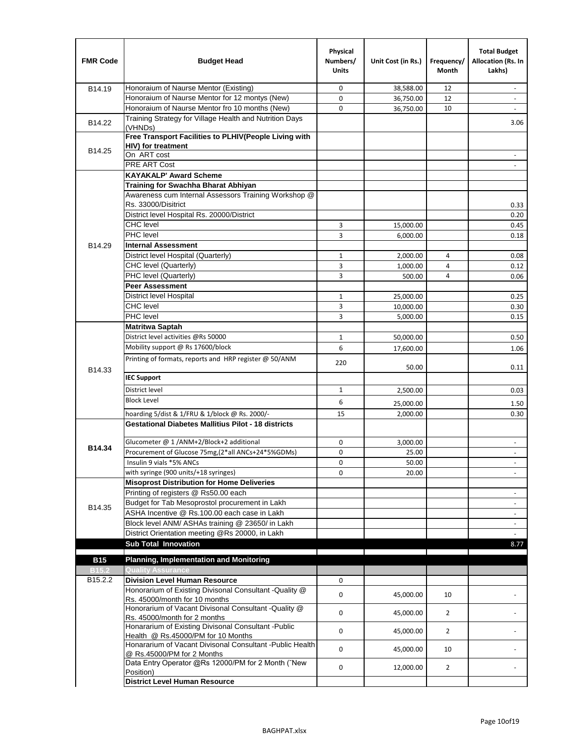| <b>FMR Code</b>     | <b>Budget Head</b>                                                                              | Physical<br>Numbers/<br><b>Units</b> | Unit Cost (in Rs.) | Frequency/<br>Month | <b>Total Budget</b><br>Allocation (Rs. In<br>Lakhs) |
|---------------------|-------------------------------------------------------------------------------------------------|--------------------------------------|--------------------|---------------------|-----------------------------------------------------|
| B14.19              | Honoraium of Naurse Mentor (Existing)                                                           | 0                                    | 38,588.00          | 12                  |                                                     |
|                     | Honoraium of Naurse Mentor for 12 montys (New)                                                  | 0                                    | 36,750.00          | 12                  | $\overline{a}$                                      |
|                     | Honoraium of Naurse Mentor fro 10 months (New)                                                  | 0                                    | 36,750.00          | 10                  | $\blacksquare$                                      |
| B14.22              | Training Strategy for Village Health and Nutrition Days<br>(VHNDs)                              |                                      |                    |                     | 3.06                                                |
|                     | Free Transport Facilities to PLHIV(People Living with                                           |                                      |                    |                     |                                                     |
| B14.25              | HIV) for treatment                                                                              |                                      |                    |                     |                                                     |
|                     | On ART cost                                                                                     |                                      |                    |                     |                                                     |
|                     | PRE ART Cost                                                                                    |                                      |                    |                     |                                                     |
|                     | <b>KAYAKALP' Award Scheme</b>                                                                   |                                      |                    |                     |                                                     |
|                     | Training for Swachha Bharat Abhiyan                                                             |                                      |                    |                     |                                                     |
|                     | Awareness cum Internal Assessors Training Workshop @                                            |                                      |                    |                     |                                                     |
|                     | Rs. 33000/Disitrict                                                                             |                                      |                    |                     | 0.33                                                |
|                     | District level Hospital Rs. 20000/District                                                      |                                      |                    |                     | 0.20                                                |
|                     | <b>CHC</b> level                                                                                | 3                                    | 15,000.00          |                     | 0.45                                                |
|                     | PHC level                                                                                       | 3                                    | 6,000.00           |                     | 0.18                                                |
| B14.29              | <b>Internal Assessment</b>                                                                      |                                      |                    |                     |                                                     |
|                     | District level Hospital (Quarterly)                                                             | $\mathbf{1}$                         | 2,000.00           | 4                   | 0.08                                                |
|                     | CHC level (Quarterly)                                                                           | 3                                    | 1,000.00           | $\overline{4}$      | 0.12                                                |
|                     | PHC level (Quarterly)                                                                           | 3                                    | 500.00             | 4                   | 0.06                                                |
|                     | <b>Peer Assessment</b>                                                                          |                                      |                    |                     |                                                     |
|                     | <b>District level Hospital</b>                                                                  | 1                                    | 25,000.00          |                     | 0.25                                                |
|                     | <b>CHC</b> level                                                                                | 3                                    | 10,000.00          |                     | 0.30                                                |
|                     | PHC level                                                                                       | 3                                    | 5,000.00           |                     | 0.15                                                |
|                     | <b>Matritwa Saptah</b>                                                                          |                                      |                    |                     |                                                     |
|                     | District level activities @Rs 50000                                                             | 1                                    | 50,000.00          |                     | 0.50                                                |
|                     | Mobility support @ Rs 17600/block                                                               | 6                                    | 17,600.00          |                     | 1.06                                                |
| B14.33              | Printing of formats, reports and HRP register @ 50/ANM                                          | 220                                  | 50.00              |                     | 0.11                                                |
|                     | <b>IEC Support</b>                                                                              |                                      |                    |                     |                                                     |
|                     | District level                                                                                  | 1                                    | 2,500.00           |                     | 0.03                                                |
|                     | <b>Block Level</b>                                                                              | 6                                    | 25,000.00          |                     | 1.50                                                |
|                     | hoarding 5/dist & 1/FRU & 1/block @ Rs. 2000/-                                                  | 15                                   | 2,000.00           |                     | 0.30                                                |
|                     | <b>Gestational Diabetes Mallitius Pilot - 18 districts</b>                                      |                                      |                    |                     |                                                     |
|                     |                                                                                                 |                                      |                    |                     |                                                     |
| B14.34              | Glucometer @ 1 /ANM+2/Block+2 additional<br>Procurement of Glucose 75mg, (2*all ANCs+24*5%GDMs) | 0                                    | 3,000.00           |                     |                                                     |
|                     |                                                                                                 | 0                                    | 25.00              |                     |                                                     |
|                     | Insulin 9 vials *5% ANCs                                                                        | 0                                    | 50.00              |                     | $\blacksquare$                                      |
|                     | with syringe (900 units/+18 syringes)<br><b>Misoprost Distribution for Home Deliveries</b>      | 0                                    | 20.00              |                     |                                                     |
|                     | Printing of registers @ Rs50.00 each                                                            |                                      |                    |                     |                                                     |
|                     | Budget for Tab Mesoprostol procurement in Lakh                                                  |                                      |                    |                     | $\overline{\phantom{a}}$<br>$\blacksquare$          |
| B14.35              | ASHA Incentive @ Rs.100.00 each case in Lakh                                                    |                                      |                    |                     |                                                     |
|                     | Block level ANM/ ASHAs training @ 23650/ in Lakh                                                |                                      |                    |                     | $\overline{\phantom{a}}$                            |
|                     | District Orientation meeting @Rs 20000, in Lakh                                                 |                                      |                    |                     | $\omega$                                            |
|                     | <b>Sub Total Innovation</b>                                                                     |                                      |                    |                     | 8.77                                                |
| <b>B15</b>          | <b>Planning, Implementation and Monitoring</b>                                                  |                                      |                    |                     |                                                     |
| <b>B15.2</b>        | <b>Quality Assurance</b>                                                                        |                                      |                    |                     |                                                     |
| B <sub>15.2.2</sub> | <b>Division Level Human Resource</b>                                                            | 0                                    |                    |                     |                                                     |
|                     | Honorarium of Existing Divisonal Consultant - Quality @                                         |                                      |                    |                     |                                                     |
|                     | Rs. 45000/month for 10 months                                                                   | 0                                    | 45,000.00          | 10                  |                                                     |
|                     | Honorarium of Vacant Divisonal Consultant - Quality @<br>Rs. 45000/month for 2 months           | 0                                    | 45,000.00          | $\overline{2}$      |                                                     |
|                     | Honararium of Existing Divisonal Consultant - Public                                            | 0                                    | 45,000.00          | $\overline{2}$      |                                                     |
|                     | Health @ Rs.45000/PM for 10 Months<br>Honararium of Vacant Divisonal Consultant - Public Health |                                      |                    |                     |                                                     |
|                     | @ Rs.45000/PM for 2 Months                                                                      | 0                                    | 45,000.00          | 10                  |                                                     |
|                     | Data Entry Operator @Rs 12000/PM for 2 Month ("New<br>Position)                                 | 0                                    | 12,000.00          | $\overline{2}$      |                                                     |
|                     | <b>District Level Human Resource</b>                                                            |                                      |                    |                     |                                                     |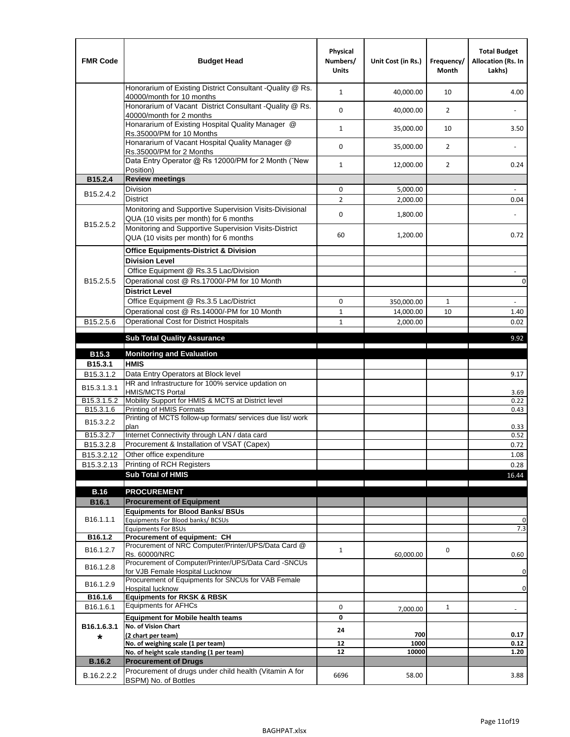| <b>FMR Code</b>         | <b>Budget Head</b>                                                                                | Physical<br>Numbers/<br><b>Units</b> | Unit Cost (in Rs.) | Frequency/<br><b>Month</b> | <b>Total Budget</b><br>Allocation (Rs. In<br>Lakhs) |
|-------------------------|---------------------------------------------------------------------------------------------------|--------------------------------------|--------------------|----------------------------|-----------------------------------------------------|
|                         | Honorarium of Existing District Consultant -Quality @ Rs.<br>40000/month for 10 months            | $\mathbf{1}$                         | 40,000.00          | 10                         | 4.00                                                |
|                         | Honorarium of Vacant District Consultant -Quality @ Rs.<br>40000/month for 2 months               | $\mathbf 0$                          | 40,000.00          | $\overline{2}$             |                                                     |
|                         | Honararium of Existing Hospital Quality Manager @<br>Rs.35000/PM for 10 Months                    | $\mathbf{1}$                         | 35,000.00          | 10                         | 3.50                                                |
|                         | Honararium of Vacant Hospital Quality Manager @<br>Rs.35000/PM for 2 Months                       | $\mathbf 0$                          | 35,000.00          | $\overline{2}$             |                                                     |
|                         | Data Entry Operator @ Rs 12000/PM for 2 Month ("New<br>Position)                                  | $\mathbf{1}$                         | 12,000.00          | $\overline{2}$             | 0.24                                                |
| B15.2.4                 | <b>Review meetings</b>                                                                            |                                      |                    |                            |                                                     |
| B <sub>15.2</sub> .4.2  | Division                                                                                          | 0                                    | 5,000.00           |                            |                                                     |
|                         | <b>District</b>                                                                                   | $\overline{2}$                       | 2,000.00           |                            | 0.04                                                |
|                         | Monitoring and Supportive Supervision Visits-Divisional<br>QUA (10 visits per month) for 6 months | $\mathbf 0$                          | 1,800.00           |                            |                                                     |
| B15.2.5.2               | Monitoring and Supportive Supervision Visits-District<br>QUA (10 visits per month) for 6 months   | 60                                   | 1,200.00           |                            | 0.72                                                |
|                         | <b>Office Equipments-District &amp; Division</b>                                                  |                                      |                    |                            |                                                     |
|                         | <b>Division Level</b>                                                                             |                                      |                    |                            |                                                     |
|                         | Office Equipment @ Rs.3.5 Lac/Division                                                            |                                      |                    |                            | $\overline{\phantom{a}}$                            |
| B15.2.5.5               | Operational cost @ Rs.17000/-PM for 10 Month                                                      |                                      |                    |                            | $\pmb{0}$                                           |
|                         | <b>District Level</b>                                                                             |                                      |                    |                            |                                                     |
|                         | Office Equipment @ Rs.3.5 Lac/District                                                            | 0                                    | 350,000.00         | $\mathbf{1}$               | $\blacksquare$                                      |
|                         | Operational cost @ Rs.14000/-PM for 10 Month                                                      | $1\,$                                | 14,000.00          | 10                         | 1.40                                                |
| B15.2.5.6               | Operational Cost for District Hospitals                                                           | $\mathbf{1}$                         | 2,000.00           |                            | 0.02                                                |
|                         | <b>Sub Total Quality Assurance</b>                                                                |                                      |                    |                            | 9.92                                                |
| B15.3                   | <b>Monitoring and Evaluation</b>                                                                  |                                      |                    |                            |                                                     |
| B15.3.1                 | <b>HMIS</b>                                                                                       |                                      |                    |                            |                                                     |
| B15.3.1.2               | Data Entry Operators at Block level                                                               |                                      |                    |                            | 9.17                                                |
| B15.3.1.3.1             | HR and Infrastructure for 100% service updation on<br><b>HMIS/MCTS Portal</b>                     |                                      |                    |                            | 3.69                                                |
| B <sub>15.3.1.5.2</sub> | Mobility Support for HMIS & MCTS at District level                                                |                                      |                    |                            | 0.22                                                |
| B15.3.1.6               | Printing of HMIS Formats<br>Printing of MCTS follow-up formats/ services due list/ work           |                                      |                    |                            | 0.43                                                |
| B15.3.2.2               | plan                                                                                              |                                      |                    |                            | 0.33                                                |
| B15.3.2.7               | Internet Connectivity through LAN / data card                                                     |                                      |                    |                            | 0.52                                                |
| B15.3.2.8               | Procurement & Installation of VSAT (Capex)                                                        |                                      |                    |                            | 0.72                                                |
| B15.3.2.12              | Other office expenditure                                                                          |                                      |                    |                            | 1.08                                                |
| B15.3.2.13              | Printing of RCH Registers                                                                         |                                      |                    |                            | 0.28                                                |
|                         | <b>Sub Total of HMIS</b>                                                                          |                                      |                    |                            | 16.44                                               |
| <b>B.16</b>             | <b>PROCUREMENT</b>                                                                                |                                      |                    |                            |                                                     |
| B16.1                   | <b>Procurement of Equipment</b>                                                                   |                                      |                    |                            |                                                     |
|                         | <b>Equipments for Blood Banks/ BSUs</b>                                                           |                                      |                    |                            |                                                     |
| B16.1.1.1               | Equipments For Blood banks/ BCSUs                                                                 |                                      |                    |                            | 0                                                   |
| B16.1.2                 | <b>Equipments For BSUs</b><br>Procurement of equipment: CH                                        |                                      |                    |                            | 7.3                                                 |
|                         | Procurement of NRC Computer/Printer/UPS/Data Card @                                               |                                      |                    |                            |                                                     |
| B16.1.2.7               | Rs. 60000/NRC                                                                                     | $\mathbf{1}$                         | 60,000.00          | 0                          | 0.60                                                |
| B16.1.2.8               | Procurement of Computer/Printer/UPS/Data Card -SNCUs                                              |                                      |                    |                            |                                                     |
|                         | for VJB Female Hospital Lucknow<br>Procurement of Equipments for SNCUs for VAB Female             |                                      |                    |                            | 0                                                   |
| B16.1.2.9               | Hospital lucknow                                                                                  |                                      |                    |                            | 0                                                   |
| B16.1.6                 | <b>Equipments for RKSK &amp; RBSK</b>                                                             |                                      |                    |                            |                                                     |
| B16.1.6.1               | <b>Equipments for AFHCs</b>                                                                       | 0                                    | 7,000.00           | $\mathbf{1}$               | ÷,                                                  |
|                         | <b>Equipment for Mobile health teams</b>                                                          | 0                                    |                    |                            |                                                     |
| B16.1.6.3.1             | No. of Vision Chart                                                                               | 24                                   | 700                |                            |                                                     |
| *                       | (2 chart per team)<br>No. of weighing scale (1 per team)                                          | 12                                   | 1000               |                            | 0.17<br>0.12                                        |
|                         | No. of height scale standing (1 per team)                                                         | 12                                   | 10000              |                            | 1.20                                                |
| <b>B.16.2</b>           | <b>Procurement of Drugs</b>                                                                       |                                      |                    |                            |                                                     |
| B.16.2.2.2              | Procurement of drugs under child health (Vitamin A for                                            | 6696                                 | 58.00              |                            | 3.88                                                |
|                         | BSPM) No. of Bottles                                                                              |                                      |                    |                            |                                                     |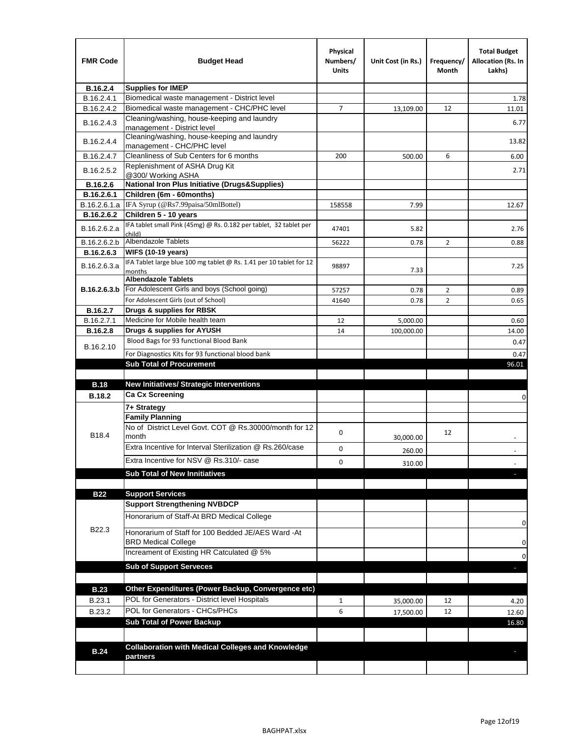| <b>FMR Code</b> | <b>Budget Head</b>                                                               | Physical<br>Numbers/<br>Units | Unit Cost (in Rs.) | Frequency/<br>Month | <b>Total Budget</b><br>Allocation (Rs. In<br>Lakhs) |
|-----------------|----------------------------------------------------------------------------------|-------------------------------|--------------------|---------------------|-----------------------------------------------------|
| B.16.2.4        | <b>Supplies for IMEP</b>                                                         |                               |                    |                     |                                                     |
| B.16.2.4.1      | Biomedical waste management - District level                                     |                               |                    |                     | 1.78                                                |
| B.16.2.4.2      | Biomedical waste management - CHC/PHC level                                      | 7                             | 13,109.00          | 12                  | 11.01                                               |
| B.16.2.4.3      | Cleaning/washing, house-keeping and laundry<br>management - District level       |                               |                    |                     | 6.77                                                |
| B.16.2.4.4      | Cleaning/washing, house-keeping and laundry<br>management - CHC/PHC level        |                               |                    |                     | 13.82                                               |
| B.16.2.4.7      | Cleanliness of Sub Centers for 6 months                                          | 200                           | 500.00             | 6                   | 6.00                                                |
| B.16.2.5.2      | Replenishment of ASHA Drug Kit<br>@300/ Working ASHA                             |                               |                    |                     | 2.71                                                |
| B.16.2.6        | <b>National Iron Plus Initiative (Drugs&amp;Supplies)</b>                        |                               |                    |                     |                                                     |
| B.16.2.6.1      | Children (6m - 60months)                                                         |                               |                    |                     |                                                     |
| B.16.2.6.1.a    | IFA Syrup (@Rs7.99paisa/50mlBottel)                                              | 158558                        | 7.99               |                     | 12.67                                               |
| B.16.2.6.2      | Children 5 - 10 years                                                            |                               |                    |                     |                                                     |
| B.16.2.6.2.a    | IFA tablet small Pink (45mg) @ Rs. 0.182 per tablet, 32 tablet per<br>child)     | 47401                         | 5.82               |                     | 2.76                                                |
| B.16.2.6.2.b    | <b>Albendazole Tablets</b>                                                       | 56222                         | 0.78               | 2                   | 0.88                                                |
| B.16.2.6.3      | <b>WIFS (10-19 years)</b>                                                        |                               |                    |                     |                                                     |
| B.16.2.6.3.a    | IFA Tablet large blue 100 mg tablet @ Rs. 1.41 per 10 tablet for 12<br>months    | 98897                         | 7.33               |                     | 7.25                                                |
|                 | <b>Albendazole Tablets</b>                                                       |                               |                    |                     |                                                     |
| B.16.2.6.3.b    | For Adolescent Girls and boys (School going)                                     | 57257                         | 0.78               | $\overline{2}$      | 0.89                                                |
|                 | For Adolescent Girls (out of School)                                             | 41640                         | 0.78               | $\overline{2}$      | 0.65                                                |
| B.16.2.7        | Drugs & supplies for RBSK                                                        |                               |                    |                     |                                                     |
| B.16.2.7.1      | Medicine for Mobile health team                                                  | 12                            | 5,000.00           |                     | 0.60                                                |
| <b>B.16.2.8</b> | Drugs & supplies for AYUSH                                                       | 14                            | 100,000.00         |                     | 14.00                                               |
| B.16.2.10       | Blood Bags for 93 functional Blood Bank                                          |                               |                    |                     | 0.47                                                |
|                 | For Diagnostics Kits for 93 functional blood bank                                |                               |                    |                     | 0.47                                                |
|                 | <b>Sub Total of Procurement</b>                                                  |                               |                    |                     | 96.01                                               |
|                 |                                                                                  |                               |                    |                     |                                                     |
| <b>B.18</b>     | <b>New Initiatives/ Strategic Interventions</b>                                  |                               |                    |                     |                                                     |
| <b>B.18.2</b>   | <b>Ca Cx Screening</b>                                                           |                               |                    |                     | 0                                                   |
|                 | 7+ Strategy                                                                      |                               |                    |                     |                                                     |
|                 | <b>Family Planning</b><br>No of District Level Govt. COT @ Rs.30000/month for 12 | 0                             |                    | 12                  |                                                     |
| B18.4           | month                                                                            |                               | 30,000.00          |                     |                                                     |
|                 | Extra Incentive for Interval Sterilization @ Rs.260/case                         | 0                             | 260.00             |                     |                                                     |
|                 | Extra Incentive for NSV @ Rs.310/- case                                          | 0                             | 310.00             |                     |                                                     |
|                 | <b>Sub Total of New Innitiatives</b>                                             |                               |                    |                     |                                                     |
|                 | <b>Support Services</b>                                                          |                               |                    |                     |                                                     |
| <b>B22</b>      | <b>Support Strengthening NVBDCP</b>                                              |                               |                    |                     |                                                     |
|                 | Honorarium of Staff-At BRD Medical College                                       |                               |                    |                     |                                                     |
| B22.3           | Honorarium of Staff for 100 Bedded JE/AES Ward -At                               |                               |                    |                     | 0                                                   |
|                 | <b>BRD Medical College</b><br>Increament of Existing HR Catculated @ 5%          |                               |                    |                     | 0                                                   |
|                 | <b>Sub of Support Serveces</b>                                                   |                               |                    |                     | 0                                                   |
|                 |                                                                                  |                               |                    |                     |                                                     |
| <b>B.23</b>     | Other Expenditures (Power Backup, Convergence etc)                               |                               |                    |                     |                                                     |
| B.23.1          | POL for Generators - District level Hospitals                                    | $\mathbf{1}$                  | 35,000.00          | 12                  | 4.20                                                |
| B.23.2          | POL for Generators - CHCs/PHCs                                                   | 6                             | 17,500.00          | 12                  | 12.60                                               |
|                 | <b>Sub Total of Power Backup</b>                                                 |                               |                    |                     | 16.80                                               |
|                 |                                                                                  |                               |                    |                     |                                                     |
| <b>B.24</b>     | <b>Collaboration with Medical Colleges and Knowledge</b>                         |                               |                    |                     |                                                     |
|                 | partners                                                                         |                               |                    |                     |                                                     |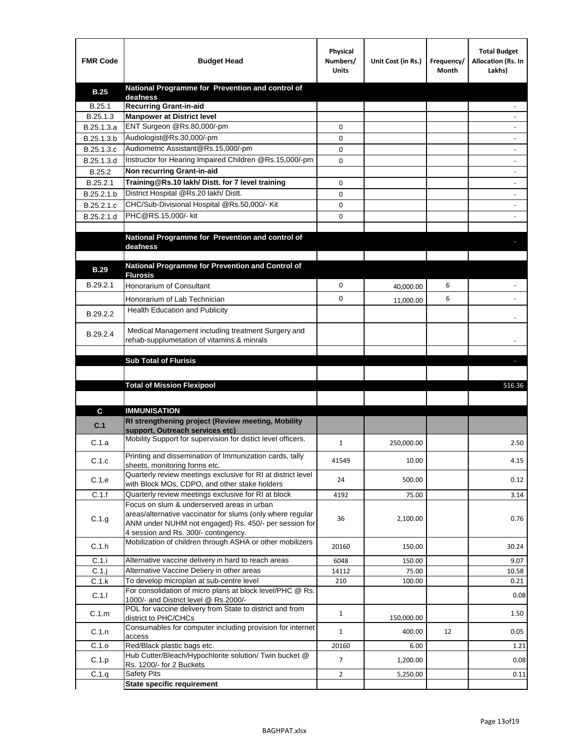| <b>FMR Code</b>  | <b>Budget Head</b>                                                                              | Physical<br>Numbers/<br><b>Units</b> | Unit Cost (in Rs.) | Frequency/<br>Month | <b>Total Budget</b><br>Allocation (Rs. In<br>Lakhs) |
|------------------|-------------------------------------------------------------------------------------------------|--------------------------------------|--------------------|---------------------|-----------------------------------------------------|
| <b>B.25</b>      | National Programme for Prevention and control of                                                |                                      |                    |                     |                                                     |
| B.25.1           | deafness<br><b>Recurring Grant-in-aid</b>                                                       |                                      |                    |                     |                                                     |
| B.25.1.3         | <b>Manpower at District level</b>                                                               |                                      |                    |                     |                                                     |
| B.25.1.3.a       | ENT Surgeon @Rs.80,000/-pm                                                                      | 0                                    |                    |                     |                                                     |
| B.25.1.3.b       | Audiologist@Rs.30,000/-pm                                                                       | 0                                    |                    |                     |                                                     |
| B.25.1.3.c       | Audiometric Assistant@Rs.15,000/-pm                                                             | 0                                    |                    |                     |                                                     |
| B.25.1.3.d       | Instructor for Hearing Impaired Children @Rs.15,000/-pm                                         | 0                                    |                    |                     |                                                     |
| B.25.2           | Non recurring Grant-in-aid                                                                      |                                      |                    |                     |                                                     |
| B.25.2.1         | Training@Rs.10 lakh/ Distt. for 7 level training                                                | 0                                    |                    |                     |                                                     |
| B.25.2.1.b       | District Hospital @Rs.20 lakh/Distt.                                                            | 0                                    |                    |                     |                                                     |
| B.25.2.1.c       | CHC/Sub-Divisional Hospital @Rs.50,000/- Kit                                                    | 0                                    |                    |                     |                                                     |
| B.25.2.1.d       | PHC@RS.15,000/- kit                                                                             | 0                                    |                    |                     |                                                     |
|                  |                                                                                                 |                                      |                    |                     |                                                     |
|                  | National Programme for Prevention and control of<br>deafness                                    |                                      |                    |                     |                                                     |
|                  |                                                                                                 |                                      |                    |                     |                                                     |
| <b>B.29</b>      | National Programme for Prevention and Control of<br><b>Flurosis</b>                             |                                      |                    |                     |                                                     |
| B.29.2.1         | <b>Honorarium of Consultant</b>                                                                 | 0                                    | 40,000.00          | 6                   |                                                     |
|                  |                                                                                                 | 0                                    |                    | 6                   |                                                     |
|                  | Honorarium of Lab Technician<br><b>Health Education and Publicity</b>                           |                                      | 11,000.00          |                     |                                                     |
| B.29.2.2         |                                                                                                 |                                      |                    |                     |                                                     |
|                  | Medical Management including treatment Surgery and                                              |                                      |                    |                     |                                                     |
| B.29.2.4         | rehab-supplumetation of vitamins & minrals                                                      |                                      |                    |                     |                                                     |
|                  |                                                                                                 |                                      |                    |                     |                                                     |
|                  | <b>Sub Total of Flurisis</b>                                                                    |                                      |                    |                     | ь                                                   |
|                  |                                                                                                 |                                      |                    |                     |                                                     |
|                  | <b>Total of Mission Flexipool</b>                                                               |                                      |                    |                     | 516.36                                              |
|                  |                                                                                                 |                                      |                    |                     |                                                     |
| C                | <b>IMMUNISATION</b>                                                                             |                                      |                    |                     |                                                     |
| C.1              | RI strengthening project (Review meeting, Mobility                                              |                                      |                    |                     |                                                     |
|                  | support. Outreach services etc)<br>Mobility Support for supervision for distict level officers. |                                      |                    |                     |                                                     |
| C.1.a            |                                                                                                 | $\mathbf{1}$                         | 250,000.00         |                     | 2.50                                                |
| C.1.c            | Printing and dissemination of Immunization cards, tally                                         | 41549                                | 10.00              |                     | 4.15                                                |
|                  | sheets, monitoring forms etc.<br>Quarterly review meetings exclusive for RI at district level   |                                      |                    |                     |                                                     |
| C.1.e            | with Block MOs, CDPO, and other stake holders                                                   | 24                                   | 500.00             |                     | 0.12                                                |
| C.1.f            | Quarterly review meetings exclusive for RI at block                                             | 4192                                 | 75.00              |                     | 3.14                                                |
|                  | Focus on slum & underserved areas in urban                                                      |                                      |                    |                     |                                                     |
| C.1.g            | areas/alternative vaccinator for slums (only where regular                                      | 36                                   | 2,100.00           |                     | 0.76                                                |
|                  | ANM under NUHM not engaged) Rs. 450/- per session for<br>4 session and Rs. 300/- contingency.   |                                      |                    |                     |                                                     |
| C.1.h            | Mobilization of children through ASHA or other mobilizers                                       | 20160                                | 150.00             |                     | 30.24                                               |
|                  |                                                                                                 |                                      |                    |                     |                                                     |
| C.1.i            | Alternative vaccine delivery in hard to reach areas                                             | 6048                                 | 150.00             |                     | 9.07                                                |
| $C.1$ .<br>C.1.k | Alternative Vaccine Deliery in other areas<br>To develop microplan at sub-centre level          | 14112<br>210                         | 75.00<br>100.00    |                     | 10.58<br>0.21                                       |
|                  | For consolidation of micro plans at block level/PHC @ Rs.                                       |                                      |                    |                     |                                                     |
| C.1.1            | 1000/- and District level @ Rs.2000/-                                                           |                                      |                    |                     | 0.08                                                |
| C.1.m            | POL for vaccine delivery from State to district and from<br>district to PHC/CHCs                | $\mathbf{1}$                         | 150,000.00         |                     | 1.50                                                |
| C.1.n            | Consumables for computer including provision for internet                                       | $\mathbf{1}$                         | 400.00             | 12                  | 0.05                                                |
| C.1.o            | access<br>Red/Black plastic bags etc.                                                           | 20160                                | 6.00               |                     | 1.21                                                |
| C.1.p            | Hub Cutter/Bleach/Hypochlorite solution/ Twin bucket @                                          | 7                                    | 1,200.00           |                     | 0.08                                                |
|                  | Rs. 1200/- for 2 Buckets                                                                        |                                      |                    |                     |                                                     |
| C.1.q            | <b>Safety Pits</b><br><b>State specific requirement</b>                                         | $\overline{2}$                       | 5,250.00           |                     | 0.11                                                |
|                  |                                                                                                 |                                      |                    |                     |                                                     |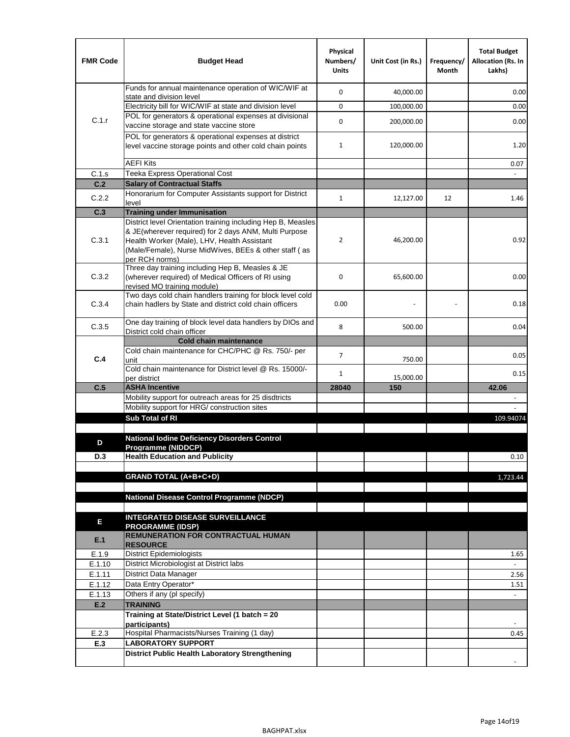| <b>FMR Code</b> | <b>Budget Head</b>                                                                                                                                                              | Physical<br>Numbers/<br><b>Units</b> | Unit Cost (in Rs.) | Frequency/<br>Month | <b>Total Budget</b><br><b>Allocation (Rs. In</b><br>Lakhs) |
|-----------------|---------------------------------------------------------------------------------------------------------------------------------------------------------------------------------|--------------------------------------|--------------------|---------------------|------------------------------------------------------------|
|                 | Funds for annual maintenance operation of WIC/WIF at                                                                                                                            | $\mathbf 0$                          | 40,000.00          |                     | 0.00                                                       |
|                 | state and division level<br>Electricity bill for WIC/WIF at state and division level                                                                                            | $\mathbf 0$                          | 100,000.00         |                     | 0.00                                                       |
| C.1.r           | POL for generators & operational expenses at divisional                                                                                                                         |                                      |                    |                     |                                                            |
|                 | vaccine storage and state vaccine store                                                                                                                                         | $\mathbf 0$                          | 200,000.00         |                     | 0.00                                                       |
|                 | POL for generators & operational expenses at district<br>level vaccine storage points and other cold chain points                                                               | $\mathbf{1}$                         | 120,000.00         |                     | 1.20                                                       |
|                 | <b>AEFI Kits</b>                                                                                                                                                                |                                      |                    |                     | 0.07                                                       |
| C.1.s           | Teeka Express Operational Cost                                                                                                                                                  |                                      |                    |                     |                                                            |
| C.2             | <b>Salary of Contractual Staffs</b>                                                                                                                                             |                                      |                    |                     |                                                            |
| C.2.2           | Honorarium for Computer Assistants support for District<br>level                                                                                                                | $\mathbf{1}$                         | 12,127.00          | 12                  | 1.46                                                       |
| C.3             | <b>Training under Immunisation</b>                                                                                                                                              |                                      |                    |                     |                                                            |
|                 | District level Orientation training including Hep B, Measles                                                                                                                    |                                      |                    |                     |                                                            |
| C.3.1           | & JE(wherever required) for 2 days ANM, Multi Purpose<br>Health Worker (Male), LHV, Health Assistant<br>(Male/Female), Nurse MidWives, BEEs & other staff (as<br>per RCH norms) | $\overline{2}$                       | 46,200.00          |                     | 0.92                                                       |
| C.3.2           | Three day training including Hep B, Measles & JE<br>(wherever required) of Medical Officers of RI using<br>revised MO training module)                                          | $\mathbf 0$                          | 65,600.00          |                     | 0.00                                                       |
| C.3.4           | Two days cold chain handlers training for block level cold<br>chain hadlers by State and district cold chain officers                                                           | 0.00                                 |                    |                     | 0.18                                                       |
| C.3.5           | One day training of block level data handlers by DIOs and<br>District cold chain officer                                                                                        | 8                                    | 500.00             |                     | 0.04                                                       |
|                 | <b>Cold chain maintenance</b>                                                                                                                                                   |                                      |                    |                     |                                                            |
|                 | Cold chain maintenance for CHC/PHC @ Rs. 750/- per                                                                                                                              | $\overline{7}$                       |                    |                     | 0.05                                                       |
| C.4             | unit                                                                                                                                                                            |                                      | 750.00             |                     |                                                            |
|                 | Cold chain maintenance for District level @ Rs. 15000/-<br>per district                                                                                                         | $\mathbf{1}$                         | 15,000.00          |                     | 0.15                                                       |
| C.5             | <b>ASHA Incentive</b>                                                                                                                                                           | 28040                                | 150                |                     | 42.06                                                      |
|                 | Mobility support for outreach areas for 25 disdtricts                                                                                                                           |                                      |                    |                     |                                                            |
|                 | Mobility support for HRG/ construction sites                                                                                                                                    |                                      |                    |                     |                                                            |
|                 | Sub Total of RI                                                                                                                                                                 |                                      |                    |                     | 109.94074                                                  |
|                 |                                                                                                                                                                                 |                                      |                    |                     |                                                            |
| D               | <b>National Iodine Deficiency Disorders Control</b><br>Programme (NIDDCP)                                                                                                       |                                      |                    |                     |                                                            |
| D.3             | <b>Health Education and Publicity</b>                                                                                                                                           |                                      |                    |                     | 0.10                                                       |
|                 |                                                                                                                                                                                 |                                      |                    |                     |                                                            |
|                 | <b>GRAND TOTAL (A+B+C+D)</b>                                                                                                                                                    |                                      |                    |                     | 1,723.44                                                   |
|                 |                                                                                                                                                                                 |                                      |                    |                     |                                                            |
|                 | <b>National Disease Control Programme (NDCP)</b>                                                                                                                                |                                      |                    |                     |                                                            |
|                 | <b>INTEGRATED DISEASE SURVEILLANCE</b>                                                                                                                                          |                                      |                    |                     |                                                            |
| Е               | <b>PROGRAMME (IDSP)</b>                                                                                                                                                         |                                      |                    |                     |                                                            |
| E.1             | <b>REMUNERATION FOR CONTRACTUAL HUMAN</b><br><b>RESOURCE</b>                                                                                                                    |                                      |                    |                     |                                                            |
| E.1.9           | District Epidemiologists                                                                                                                                                        |                                      |                    |                     | 1.65                                                       |
| E.1.10          | District Microbiologist at District labs                                                                                                                                        |                                      |                    |                     |                                                            |
| E.1.11          | District Data Manager                                                                                                                                                           |                                      |                    |                     | 2.56                                                       |
| E.1.12          | Data Entry Operator*                                                                                                                                                            |                                      |                    |                     | 1.51                                                       |
| E.1.13<br>E.2   | Others if any (pl specify)<br><b>TRAINING</b>                                                                                                                                   |                                      |                    |                     | $\omega$                                                   |
|                 | Training at State/District Level (1 batch = 20                                                                                                                                  |                                      |                    |                     |                                                            |
|                 | participants)                                                                                                                                                                   |                                      |                    |                     |                                                            |
| E.2.3           | Hospital Pharmacists/Nurses Training (1 day)                                                                                                                                    |                                      |                    |                     | 0.45                                                       |
| E.3             | <b>LABORATORY SUPPORT</b>                                                                                                                                                       |                                      |                    |                     |                                                            |
|                 | <b>District Public Health Laboratory Strengthening</b>                                                                                                                          |                                      |                    |                     |                                                            |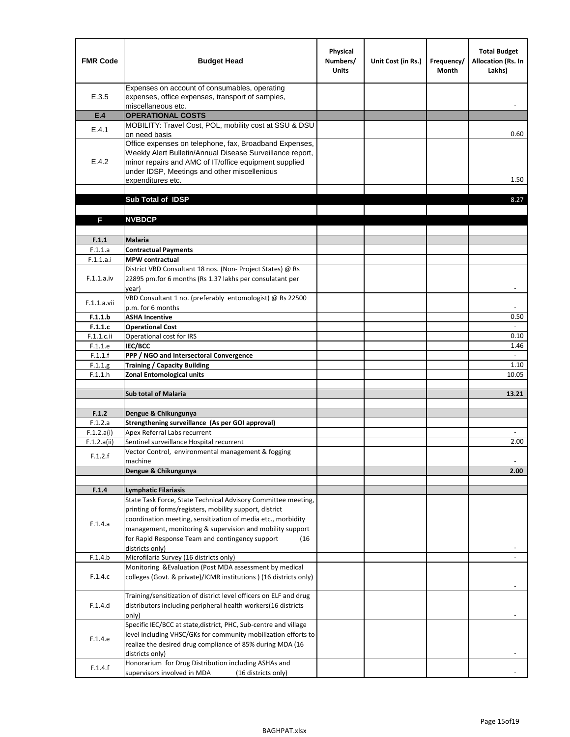| <b>FMR Code</b> | <b>Budget Head</b>                                                                                                                                                                                                                                | Physical<br>Numbers/<br><b>Units</b> | Unit Cost (in Rs.) | Frequency/<br><b>Month</b> | <b>Total Budget</b><br>Allocation (Rs. In<br>Lakhs) |
|-----------------|---------------------------------------------------------------------------------------------------------------------------------------------------------------------------------------------------------------------------------------------------|--------------------------------------|--------------------|----------------------------|-----------------------------------------------------|
| E.3.5           | Expenses on account of consumables, operating<br>expenses, office expenses, transport of samples,<br>miscellaneous etc.                                                                                                                           |                                      |                    |                            |                                                     |
| E.4             | <b>OPERATIONAL COSTS</b>                                                                                                                                                                                                                          |                                      |                    |                            |                                                     |
| E.4.1           | MOBILITY: Travel Cost, POL, mobility cost at SSU & DSU<br>on need basis                                                                                                                                                                           |                                      |                    |                            | 0.60                                                |
| E.4.2           | Office expenses on telephone, fax, Broadband Expenses,<br>Weekly Alert Bulletin/Annual Disease Surveillance report,<br>minor repairs and AMC of IT/office equipment supplied<br>under IDSP, Meetings and other miscellenious<br>expenditures etc. |                                      |                    |                            | 1.50                                                |
|                 | Sub Total of IDSP                                                                                                                                                                                                                                 |                                      |                    |                            | 8.27                                                |
|                 |                                                                                                                                                                                                                                                   |                                      |                    |                            |                                                     |
| F               | <b>NVBDCP</b>                                                                                                                                                                                                                                     |                                      |                    |                            |                                                     |
| F.1.1           | <b>Malaria</b>                                                                                                                                                                                                                                    |                                      |                    |                            |                                                     |
| F.1.1.a         | <b>Contractual Payments</b>                                                                                                                                                                                                                       |                                      |                    |                            |                                                     |
| F.1.1.a.i       | <b>MPW</b> contractual                                                                                                                                                                                                                            |                                      |                    |                            |                                                     |
| F.1.1.a.iv      | District VBD Consultant 18 nos. (Non-Project States) @ Rs<br>22895 pm.for 6 months (Rs 1.37 lakhs per consulatant per<br>year)                                                                                                                    |                                      |                    |                            | $\overline{\phantom{a}}$                            |
| F.1.1.a.vii     | VBD Consultant 1 no. (preferably entomologist) @ Rs 22500<br>p.m. for 6 months                                                                                                                                                                    |                                      |                    |                            |                                                     |
| F.1.1.b         | <b>ASHA Incentive</b>                                                                                                                                                                                                                             |                                      |                    |                            | 0.50                                                |
| F.1.1.c         | <b>Operational Cost</b>                                                                                                                                                                                                                           |                                      |                    |                            | $\overline{\phantom{a}}$                            |
| F.1.1.c.ii      | Operational cost for IRS                                                                                                                                                                                                                          |                                      |                    |                            | 0.10                                                |
| F.1.1.e         | <b>IEC/BCC</b>                                                                                                                                                                                                                                    |                                      |                    |                            | 1.46                                                |
| F.1.1.f         | PPP / NGO and Intersectoral Convergence                                                                                                                                                                                                           |                                      |                    |                            | $\omega$                                            |
| F.1.1.g         | <b>Training / Capacity Building</b>                                                                                                                                                                                                               |                                      |                    |                            | 1.10<br>10.05                                       |
| F.1.1.h         | <b>Zonal Entomological units</b>                                                                                                                                                                                                                  |                                      |                    |                            |                                                     |
|                 | <b>Sub total of Malaria</b>                                                                                                                                                                                                                       |                                      |                    |                            | 13.21                                               |
|                 |                                                                                                                                                                                                                                                   |                                      |                    |                            |                                                     |
| F.1.2           | Dengue & Chikungunya                                                                                                                                                                                                                              |                                      |                    |                            |                                                     |
| F.1.2.a         | Strengthening surveillance (As per GOI approval)                                                                                                                                                                                                  |                                      |                    |                            |                                                     |
| F.1.2.a(i)      | Apex Referral Labs recurrent                                                                                                                                                                                                                      |                                      |                    |                            |                                                     |
| F.1.2.a(ii)     | Sentinel surveillance Hospital recurrent                                                                                                                                                                                                          |                                      |                    |                            | 2.00                                                |
| F.1.2.f         | Vector Control, environmental management & fogging<br>machine                                                                                                                                                                                     |                                      |                    |                            |                                                     |
|                 | Dengue & Chikungunya                                                                                                                                                                                                                              |                                      |                    |                            | 2.00                                                |
|                 |                                                                                                                                                                                                                                                   |                                      |                    |                            |                                                     |
| F.1.4           | Lymphatic Filariasis                                                                                                                                                                                                                              |                                      |                    |                            |                                                     |
|                 | State Task Force, State Technical Advisory Committee meeting,                                                                                                                                                                                     |                                      |                    |                            |                                                     |
|                 | printing of forms/registers, mobility support, district                                                                                                                                                                                           |                                      |                    |                            |                                                     |
| F.1.4.a         | coordination meeting, sensitization of media etc., morbidity<br>management, monitoring & supervision and mobility support                                                                                                                         |                                      |                    |                            |                                                     |
|                 | for Rapid Response Team and contingency support<br>(16                                                                                                                                                                                            |                                      |                    |                            |                                                     |
|                 | districts only)                                                                                                                                                                                                                                   |                                      |                    |                            |                                                     |
| F.1.4.b         | Microfilaria Survey (16 districts only)                                                                                                                                                                                                           |                                      |                    |                            |                                                     |
|                 | Monitoring & Evaluation (Post MDA assessment by medical                                                                                                                                                                                           |                                      |                    |                            |                                                     |
| F.1.4.c         | colleges (Govt. & private)/ICMR institutions ) (16 districts only)                                                                                                                                                                                |                                      |                    |                            |                                                     |
|                 | Training/sensitization of district level officers on ELF and drug                                                                                                                                                                                 |                                      |                    |                            |                                                     |
| F.1.4.d         | distributors including peripheral health workers(16 districts                                                                                                                                                                                     |                                      |                    |                            |                                                     |
|                 | only)                                                                                                                                                                                                                                             |                                      |                    |                            |                                                     |
|                 | Specific IEC/BCC at state, district, PHC, Sub-centre and village                                                                                                                                                                                  |                                      |                    |                            |                                                     |
| F.1.4.e         | level including VHSC/GKs for community mobilization efforts to                                                                                                                                                                                    |                                      |                    |                            |                                                     |
|                 | realize the desired drug compliance of 85% during MDA (16                                                                                                                                                                                         |                                      |                    |                            |                                                     |
|                 | districts only)<br>Honorarium for Drug Distribution including ASHAs and                                                                                                                                                                           |                                      |                    |                            |                                                     |
| F.1.4.f         | supervisors involved in MDA<br>(16 districts only)                                                                                                                                                                                                |                                      |                    |                            |                                                     |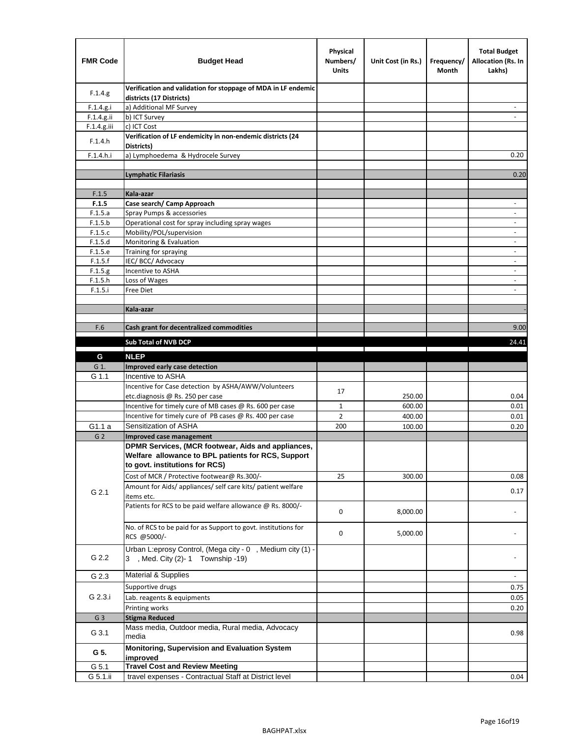| <b>FMR Code</b> | <b>Budget Head</b>                                                                                                                         | Physical<br>Numbers/<br><b>Units</b> | Unit Cost (in Rs.)                                                              | Frequency/<br>Month            | <b>Total Budget</b><br>Allocation (Rs. In<br>Lakhs) |
|-----------------|--------------------------------------------------------------------------------------------------------------------------------------------|--------------------------------------|---------------------------------------------------------------------------------|--------------------------------|-----------------------------------------------------|
| F.1.4.g.        | Verification and validation for stoppage of MDA in LF endemic<br>districts (17 Districts)                                                  |                                      |                                                                                 |                                |                                                     |
| F.1.4.g.i       | a) Additional MF Survey                                                                                                                    |                                      |                                                                                 |                                |                                                     |
| F.1.4.g.ii      | b) ICT Survey                                                                                                                              |                                      |                                                                                 |                                |                                                     |
| $F.1.4.g.$ iii  | c) ICT Cost                                                                                                                                |                                      |                                                                                 |                                |                                                     |
| F.1.4.h         | Verification of LF endemicity in non-endemic districts (24<br>Districts)                                                                   |                                      |                                                                                 |                                |                                                     |
| F.1.4.h.i       | a) Lymphoedema & Hydrocele Survey                                                                                                          |                                      |                                                                                 |                                | 0.20                                                |
|                 | <b>Lymphatic Filariasis</b>                                                                                                                |                                      |                                                                                 |                                | 0.20                                                |
|                 |                                                                                                                                            |                                      |                                                                                 |                                |                                                     |
| F.1.5           | Kala-azar                                                                                                                                  |                                      |                                                                                 |                                |                                                     |
| F.1.5           | Case search/ Camp Approach                                                                                                                 |                                      |                                                                                 |                                | $\overline{\phantom{a}}$                            |
| F.1.5.a         | Spray Pumps & accessories                                                                                                                  |                                      |                                                                                 |                                | ٠                                                   |
| F.1.5.b         | Operational cost for spray including spray wages                                                                                           |                                      |                                                                                 |                                |                                                     |
| F.1.5.c         | Mobility/POL/supervision                                                                                                                   |                                      |                                                                                 |                                | $\blacksquare$                                      |
| F.1.5.d         | Monitoring & Evaluation                                                                                                                    |                                      |                                                                                 |                                | $\overline{\phantom{a}}$                            |
| F.1.5.e         | Training for spraying                                                                                                                      |                                      |                                                                                 |                                | $\overline{\phantom{m}}$                            |
| F.1.5.f         | IEC/BCC/Advocacy                                                                                                                           |                                      |                                                                                 |                                |                                                     |
| F.1.5.g         | Incentive to ASHA                                                                                                                          |                                      |                                                                                 |                                | $\overline{\phantom{a}}$                            |
| F.1.5.h         | Loss of Wages                                                                                                                              |                                      |                                                                                 |                                |                                                     |
| F.1.5.i         | Free Diet                                                                                                                                  |                                      |                                                                                 |                                |                                                     |
|                 |                                                                                                                                            |                                      |                                                                                 |                                |                                                     |
|                 | Kala-azar                                                                                                                                  |                                      |                                                                                 |                                |                                                     |
| F.6             | Cash grant for decentralized commodities                                                                                                   |                                      |                                                                                 |                                | 9.00                                                |
|                 |                                                                                                                                            |                                      |                                                                                 |                                |                                                     |
|                 | Sub Total of NVB DCP                                                                                                                       |                                      | the contract of the contract of the contract of the contract of the contract of | the property of the control of | 24.41                                               |
| G               | <b>NLEP</b>                                                                                                                                |                                      |                                                                                 |                                |                                                     |
| G 1.            | Improved early case detection                                                                                                              |                                      |                                                                                 |                                |                                                     |
| G 1.1           | Incentive to ASHA                                                                                                                          |                                      |                                                                                 |                                |                                                     |
|                 | Incentive for Case detection by ASHA/AWW/Volunteers                                                                                        |                                      |                                                                                 |                                |                                                     |
|                 | etc.diagnosis @ Rs. 250 per case                                                                                                           | 17                                   | 250.00                                                                          |                                | 0.04                                                |
|                 | Incentive for timely cure of MB cases @ Rs. 600 per case                                                                                   | $\mathbf{1}$                         | 600.00                                                                          |                                | 0.01                                                |
|                 | Incentive for timely cure of PB cases @ Rs. 400 per case                                                                                   | $\overline{2}$                       | 400.00                                                                          |                                | 0.01                                                |
| G1.1 a          | Sensitization of ASHA                                                                                                                      | 200                                  | 100.00                                                                          |                                | 0.20                                                |
| G <sub>2</sub>  | <b>Improved case management</b>                                                                                                            |                                      |                                                                                 |                                |                                                     |
|                 | DPMR Services, (MCR footwear, Aids and appliances,<br>Welfare allowance to BPL patients for RCS, Support<br>to govt. institutions for RCS) |                                      |                                                                                 |                                |                                                     |
|                 | Cost of MCR / Protective footwear@ Rs.300/-                                                                                                | 25                                   | 300.00                                                                          |                                | 0.08                                                |
|                 | Amount for Aids/ appliances/ self care kits/ patient welfare                                                                               |                                      |                                                                                 |                                |                                                     |
| G 2.1           | items etc.                                                                                                                                 |                                      |                                                                                 |                                | 0.17                                                |
|                 | Patients for RCS to be paid welfare allowance @ Rs. 8000/-                                                                                 | 0                                    | 8,000.00                                                                        |                                |                                                     |
|                 | No. of RCS to be paid for as Support to govt. institutions for<br>RCS @5000/-                                                              | 0                                    | 5,000.00                                                                        |                                |                                                     |
| G 2.2           | Urban L:eprosy Control, (Mega city - 0, Medium city (1) -<br>3 , Med. City (2)-1 Township -19)                                             |                                      |                                                                                 |                                |                                                     |
| G 2.3           | Material & Supplies                                                                                                                        |                                      |                                                                                 |                                | $\overline{\phantom{a}}$                            |
|                 | Supportive drugs                                                                                                                           |                                      |                                                                                 |                                | 0.75                                                |
| G 2.3.i         | Lab. reagents & equipments                                                                                                                 |                                      |                                                                                 |                                | 0.05                                                |
|                 | Printing works                                                                                                                             |                                      |                                                                                 |                                | 0.20                                                |
| G <sub>3</sub>  | <b>Stigma Reduced</b>                                                                                                                      |                                      |                                                                                 |                                |                                                     |
|                 | Mass media, Outdoor media, Rural media, Advocacy                                                                                           |                                      |                                                                                 |                                |                                                     |
| G 3.1           | media                                                                                                                                      |                                      |                                                                                 |                                | 0.98                                                |
| G 5.            | Monitoring, Supervision and Evaluation System<br>improved                                                                                  |                                      |                                                                                 |                                |                                                     |
| G 5.1           | <b>Travel Cost and Review Meeting</b>                                                                                                      |                                      |                                                                                 |                                |                                                     |
| G 5.1.ii        | travel expenses - Contractual Staff at District level                                                                                      |                                      |                                                                                 |                                | 0.04                                                |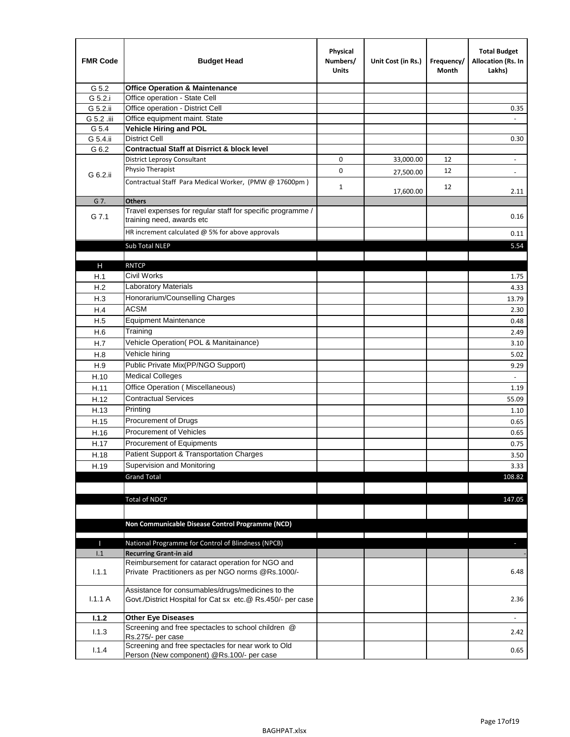| <b>FMR Code</b> | <b>Budget Head</b>                                                                                              | Physical<br>Numbers/<br><b>Units</b> | Unit Cost (in Rs.) | Frequency/<br>Month | <b>Total Budget</b><br>Allocation (Rs. In<br>Lakhs) |
|-----------------|-----------------------------------------------------------------------------------------------------------------|--------------------------------------|--------------------|---------------------|-----------------------------------------------------|
| G 5.2           | <b>Office Operation &amp; Maintenance</b>                                                                       |                                      |                    |                     |                                                     |
| G 5.2.i         | Office operation - State Cell                                                                                   |                                      |                    |                     |                                                     |
| G 5.2.ii        | Office operation - District Cell                                                                                |                                      |                    |                     | 0.35                                                |
| G 5.2 .iii      | Office equipment maint. State                                                                                   |                                      |                    |                     |                                                     |
| G 5.4           | <b>Vehicle Hiring and POL</b>                                                                                   |                                      |                    |                     |                                                     |
| G 5.4.ii        | <b>District Cell</b>                                                                                            |                                      |                    |                     | 0.30                                                |
| G 6.2           | <b>Contractual Staff at Disrrict &amp; block level</b>                                                          |                                      |                    |                     |                                                     |
|                 | <b>District Leprosy Consultant</b>                                                                              | 0                                    | 33,000.00          | 12                  |                                                     |
| G 6.2.ii        | Physio Therapist                                                                                                | 0                                    | 27,500.00          | 12                  | $\overline{\phantom{a}}$                            |
|                 | Contractual Staff Para Medical Worker, (PMW @ 17600pm)                                                          | $\mathbf{1}$                         | 17,600.00          | 12                  | 2.11                                                |
| G 7.            | <b>Others</b>                                                                                                   |                                      |                    |                     |                                                     |
| G 7.1           | Travel expenses for regular staff for specific programme /<br>training need, awards etc                         |                                      |                    |                     | 0.16                                                |
|                 | HR increment calculated $\omega$ 5% for above approvals                                                         |                                      |                    |                     | 0.11                                                |
|                 | Sub Total NLEP                                                                                                  |                                      |                    |                     | 5.54                                                |
|                 |                                                                                                                 |                                      |                    |                     |                                                     |
| Н               | <b>RNTCP</b>                                                                                                    |                                      |                    |                     |                                                     |
| H.1             | Civil Works                                                                                                     |                                      |                    |                     | 1.75                                                |
| H.2             | Laboratory Materials                                                                                            |                                      |                    |                     | 4.33                                                |
| H.3             | Honorarium/Counselling Charges                                                                                  |                                      |                    |                     | 13.79                                               |
| H.4             | <b>ACSM</b>                                                                                                     |                                      |                    |                     | 2.30                                                |
| H.5             | <b>Equipment Maintenance</b>                                                                                    |                                      |                    |                     | 0.48                                                |
| H.6             | Training                                                                                                        |                                      |                    |                     | 2.49                                                |
| H.7             | Vehicle Operation(POL & Manitainance)                                                                           |                                      |                    |                     | 3.10                                                |
| H.8             | Vehicle hiring                                                                                                  |                                      |                    |                     | 5.02                                                |
| H.9             | Public Private Mix(PP/NGO Support)                                                                              |                                      |                    |                     | 9.29                                                |
| H.10            | <b>Medical Colleges</b>                                                                                         |                                      |                    |                     | $\blacksquare$                                      |
| H.11            | Office Operation (Miscellaneous)                                                                                |                                      |                    |                     | 1.19                                                |
| H.12            | <b>Contractual Services</b>                                                                                     |                                      |                    |                     | 55.09                                               |
| H.13            | Printing                                                                                                        |                                      |                    |                     | 1.10                                                |
| H.15            | Procurement of Drugs                                                                                            |                                      |                    |                     | 0.65                                                |
| H.16            | Procurement of Vehicles                                                                                         |                                      |                    |                     | 0.65                                                |
| H.17            | <b>Procurement of Equipments</b>                                                                                |                                      |                    |                     | 0.75                                                |
| H.18            | Patient Support & Transportation Charges                                                                        |                                      |                    |                     | 3.50                                                |
| H.19            | Supervision and Monitoring                                                                                      |                                      |                    |                     | 3.33                                                |
|                 | <b>Grand Total</b>                                                                                              |                                      |                    |                     | 108.82                                              |
|                 |                                                                                                                 |                                      |                    |                     |                                                     |
|                 | <b>Total of NDCP</b>                                                                                            |                                      |                    |                     | 147.05                                              |
|                 |                                                                                                                 |                                      |                    |                     |                                                     |
|                 |                                                                                                                 |                                      |                    |                     |                                                     |
|                 | Non Communicable Disease Control Programme (NCD)                                                                |                                      |                    |                     |                                                     |
| Т               | National Programme for Control of Blindness (NPCB)                                                              |                                      |                    |                     | ÷.                                                  |
| 1.1             | <b>Recurring Grant-in aid</b>                                                                                   |                                      |                    |                     |                                                     |
|                 | Reimbursement for cataract operation for NGO and                                                                |                                      |                    |                     |                                                     |
| 1.1.1           | Private Practitioners as per NGO norms @Rs.1000/-                                                               |                                      |                    |                     | 6.48                                                |
| 1.1.1A          | Assistance for consumables/drugs/medicines to the<br>Govt./District Hospital for Cat sx etc.@ Rs.450/- per case |                                      |                    |                     | 2.36                                                |
| 1.1.2           | <b>Other Eye Diseases</b>                                                                                       |                                      |                    |                     |                                                     |
| 1.1.3           | Screening and free spectacles to school children @                                                              |                                      |                    |                     | 2.42                                                |
|                 | Rs.275/- per case                                                                                               |                                      |                    |                     |                                                     |
| 1.1.4           | Screening and free spectacles for near work to Old<br>Person (New component) @Rs.100/- per case                 |                                      |                    |                     | 0.65                                                |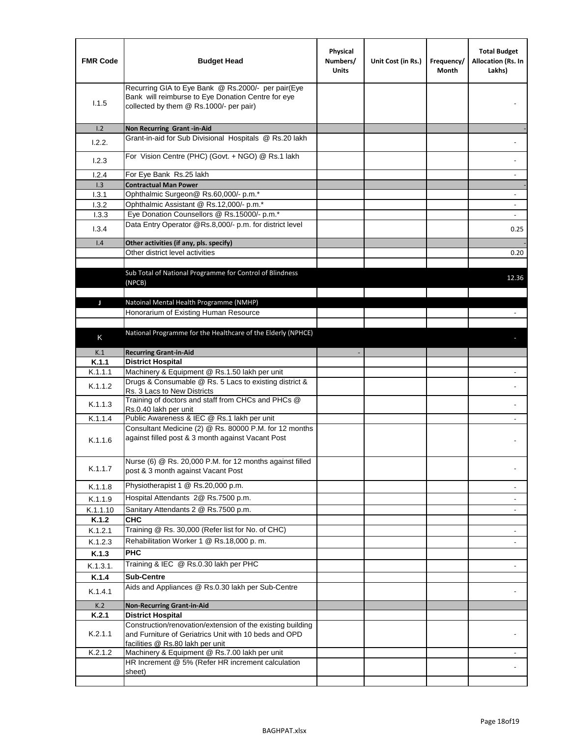| <b>FMR Code</b> | <b>Budget Head</b>                                                                                                                                      | Physical<br>Numbers/<br><b>Units</b> | Unit Cost (in Rs.) | Frequency/<br>Month | <b>Total Budget</b><br>Allocation (Rs. In<br>Lakhs) |
|-----------------|---------------------------------------------------------------------------------------------------------------------------------------------------------|--------------------------------------|--------------------|---------------------|-----------------------------------------------------|
| 1.1.5           | Recurring GIA to Eye Bank @ Rs.2000/- per pair(Eye<br>Bank will reimburse to Eye Donation Centre for eye<br>collected by them @ Rs.1000/- per pair)     |                                      |                    |                     |                                                     |
| 1.2             | Non Recurring Grant -in-Aid                                                                                                                             |                                      |                    |                     |                                                     |
| 1.2.2.          | Grant-in-aid for Sub Divisional Hospitals @ Rs.20 lakh                                                                                                  |                                      |                    |                     |                                                     |
| 1.2.3           | For Vision Centre (PHC) (Govt. + NGO) @ Rs.1 lakh                                                                                                       |                                      |                    |                     |                                                     |
| 1.2.4           | For Eye Bank Rs.25 lakh                                                                                                                                 |                                      |                    |                     | ÷.                                                  |
| 1.3             | <b>Contractual Man Power</b>                                                                                                                            |                                      |                    |                     |                                                     |
| 1.3.1           | Ophthalmic Surgeon@ Rs.60,000/- p.m.*                                                                                                                   |                                      |                    |                     | $\overline{\phantom{a}}$                            |
| 1.3.2           | Ophthalmic Assistant @ Rs.12,000/- p.m.*                                                                                                                |                                      |                    |                     |                                                     |
| 1.3.3           | Eye Donation Counsellors @ Rs.15000/- p.m.*                                                                                                             |                                      |                    |                     | $\overline{\phantom{a}}$                            |
| 1.3.4           | Data Entry Operator @Rs.8,000/- p.m. for district level                                                                                                 |                                      |                    |                     | 0.25                                                |
| 1.4             | Other activities (if any, pls. specify)                                                                                                                 |                                      |                    |                     |                                                     |
|                 | Other district level activities                                                                                                                         |                                      |                    |                     | 0.20                                                |
|                 | Sub Total of National Programme for Control of Blindness<br>(NPCB)                                                                                      |                                      |                    |                     | 12.36                                               |
|                 |                                                                                                                                                         |                                      |                    |                     |                                                     |
| J               | Natoinal Mental Health Programme (NMHP)<br>Honorarium of Existing Human Resource                                                                        |                                      |                    |                     |                                                     |
|                 |                                                                                                                                                         |                                      |                    |                     |                                                     |
|                 | National Programme for the Healthcare of the Elderly (NPHCE)                                                                                            |                                      |                    |                     |                                                     |
| K               |                                                                                                                                                         |                                      |                    |                     |                                                     |
| K.1             | <b>Recurring Grant-in-Aid</b>                                                                                                                           |                                      |                    |                     |                                                     |
| K.1.1           | <b>District Hospital</b>                                                                                                                                |                                      |                    |                     |                                                     |
| K.1.1.1         | Machinery & Equipment @ Rs.1.50 lakh per unit                                                                                                           |                                      |                    |                     |                                                     |
| K.1.1.2         | Drugs & Consumable @ Rs. 5 Lacs to existing district &<br>Rs. 3 Lacs to New Districts                                                                   |                                      |                    |                     |                                                     |
| K.1.1.3         | Training of doctors and staff from CHCs and PHCs @<br>Rs.0.40 lakh per unit                                                                             |                                      |                    |                     |                                                     |
| K.1.1.4         | Public Awareness & IEC @ Rs.1 lakh per unit                                                                                                             |                                      |                    |                     |                                                     |
| K.1.1.6         | Consultant Medicine (2) @ Rs. 80000 P.M. for 12 months<br>against filled post & 3 month against Vacant Post                                             |                                      |                    |                     |                                                     |
| K.1.1.7         | Nurse (6) @ Rs. 20,000 P.M. for 12 months against filled<br>post & 3 month against Vacant Post                                                          |                                      |                    |                     |                                                     |
| K.1.1.8         | Physiotherapist 1 @ Rs.20,000 p.m.                                                                                                                      |                                      |                    |                     |                                                     |
| K.1.1.9         | Hospital Attendants 2@ Rs.7500 p.m.                                                                                                                     |                                      |                    |                     |                                                     |
| K.1.1.10        | Sanitary Attendants 2 @ Rs.7500 p.m.                                                                                                                    |                                      |                    |                     | $\overline{\phantom{a}}$                            |
| K.1.2           | <b>CHC</b>                                                                                                                                              |                                      |                    |                     |                                                     |
| K.1.2.1         | Training @ Rs. 30,000 (Refer list for No. of CHC)                                                                                                       |                                      |                    |                     |                                                     |
| K.1.2.3         | Rehabilitation Worker 1 @ Rs.18,000 p. m.                                                                                                               |                                      |                    |                     |                                                     |
| K.1.3           | <b>PHC</b>                                                                                                                                              |                                      |                    |                     |                                                     |
| K.1.3.1.        | Training & IEC @ Rs.0.30 lakh per PHC                                                                                                                   |                                      |                    |                     |                                                     |
| K.1.4           | <b>Sub-Centre</b>                                                                                                                                       |                                      |                    |                     |                                                     |
|                 | Aids and Appliances @ Rs.0.30 lakh per Sub-Centre                                                                                                       |                                      |                    |                     |                                                     |
| K.1.4.1         |                                                                                                                                                         |                                      |                    |                     |                                                     |
| K.2             | <b>Non-Recurring Grant-in-Aid</b>                                                                                                                       |                                      |                    |                     |                                                     |
| K.2.1           | <b>District Hospital</b>                                                                                                                                |                                      |                    |                     |                                                     |
| K.2.1.1         | Construction/renovation/extension of the existing building<br>and Furniture of Geriatrics Unit with 10 beds and OPD<br>facilities @ Rs.80 lakh per unit |                                      |                    |                     |                                                     |
| K.2.1.2         | Machinery & Equipment @ Rs.7.00 lakh per unit                                                                                                           |                                      |                    |                     |                                                     |
|                 | HR Increment @ 5% (Refer HR increment calculation                                                                                                       |                                      |                    |                     |                                                     |
|                 | sheet)                                                                                                                                                  |                                      |                    |                     |                                                     |
|                 |                                                                                                                                                         |                                      |                    |                     |                                                     |